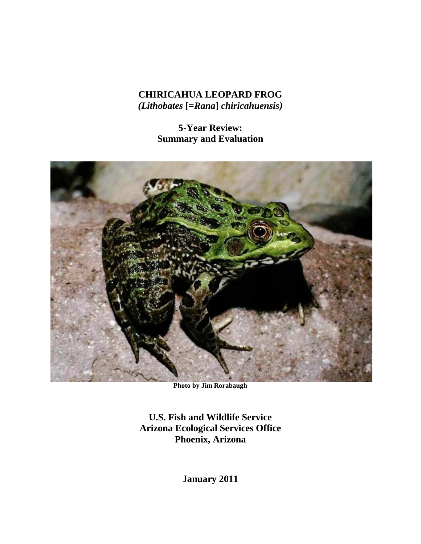# **CHIRICAHUA LEOPARD FROG** *(Lithobates* **[=***Rana***]** *chiricahuensis)*

**5-Year Review: Summary and Evaluation**



**Photo by Jim Rorabaugh**

**U.S. Fish and Wildlife Service Arizona Ecological Services Office Phoenix, Arizona**

**January 2011**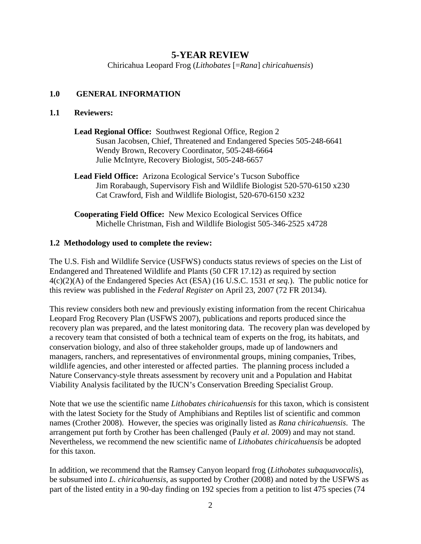# **5-YEAR REVIEW**

Chiricahua Leopard Frog (*Lithobates* [=*Rana*] *chiricahuensis*)

## **1.0 GENERAL INFORMATION**

## **1.1 Reviewers:**

- **Lead Regional Office:** Southwest Regional Office, Region 2 Susan Jacobsen, Chief, Threatened and Endangered Species 505-248-6641 Wendy Brown, Recovery Coordinator, 505-248-6664 Julie McIntyre, Recovery Biologist, 505-248-6657
- **Lead Field Office:** Arizona Ecological Service's Tucson Suboffice Jim Rorabaugh, Supervisory Fish and Wildlife Biologist 520-570-6150 x230 Cat Crawford, Fish and Wildlife Biologist, 520-670-6150 x232
- **Cooperating Field Office:** New Mexico Ecological Services Office Michelle Christman, Fish and Wildlife Biologist 505-346-2525 x4728

## **1.2 Methodology used to complete the review:**

The U.S. Fish and Wildlife Service (USFWS) conducts status reviews of species on the List of Endangered and Threatened Wildlife and Plants (50 CFR 17.12) as required by section 4(c)(2)(A) of the Endangered Species Act (ESA) (16 U.S.C. 1531 *et seq.*). The public notice for this review was published in the *Federal Register* on April 23, 2007 (72 FR 20134).

This review considers both new and previously existing information from the recent Chiricahua Leopard Frog Recovery Plan (USFWS 2007), publications and reports produced since the recovery plan was prepared, and the latest monitoring data. The recovery plan was developed by a recovery team that consisted of both a technical team of experts on the frog, its habitats, and conservation biology, and also of three stakeholder groups, made up of landowners and managers, ranchers, and representatives of environmental groups, mining companies, Tribes, wildlife agencies, and other interested or affected parties. The planning process included a Nature Conservancy-style threats assessment by recovery unit and a Population and Habitat Viability Analysis facilitated by the IUCN's Conservation Breeding Specialist Group.

Note that we use the scientific name *Lithobates chiricahuensis* for this taxon, which is consistent with the latest Society for the Study of Amphibians and Reptiles list of scientific and common names (Crother 2008). However, the species was originally listed as *Rana chiricahuensis*. The arrangement put forth by Crother has been challenged (Pauly *et al.* 2009) and may not stand. Nevertheless, we recommend the new scientific name of *Lithobates chiricahuensis* be adopted for this taxon.

In addition, we recommend that the Ramsey Canyon leopard frog (*Lithobates subaquavocali*s), be subsumed into *L. chiricahuensis*, as supported by Crother (2008) and noted by the USFWS as part of the listed entity in a 90-day finding on 192 species from a petition to list 475 species (74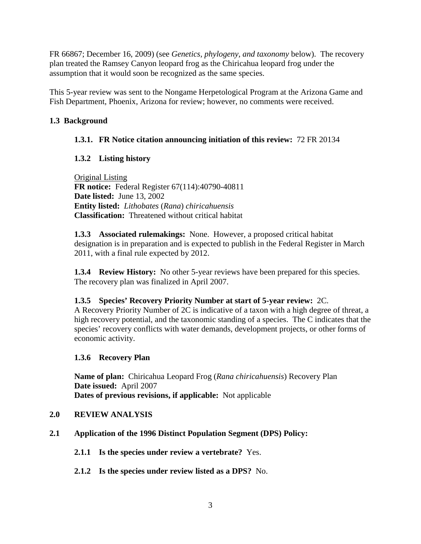FR 66867; December 16, 2009) (see *Genetics, phylogeny, and taxonomy* below). The recovery plan treated the Ramsey Canyon leopard frog as the Chiricahua leopard frog under the assumption that it would soon be recognized as the same species.

This 5-year review was sent to the Nongame Herpetological Program at the Arizona Game and Fish Department, Phoenix, Arizona for review; however, no comments were received.

# **1.3 Background**

## **1.3.1. FR Notice citation announcing initiation of this review:** 72 FR 20134

# **1.3.2 Listing history**

Original Listing  **FR notice:** Federal Register 67(114):40790-40811 **Date listed:** June 13, 2002 **Entity listed:** *Lithobates* (*Rana*) *chiricahuensis* **Classification:** Threatened without critical habitat

**1.3.3 Associated rulemakings:** None. However, a proposed critical habitat designation is in preparation and is expected to publish in the Federal Register in March 2011, with a final rule expected by 2012.

**1.3.4 Review History:** No other 5-year reviews have been prepared for this species. The recovery plan was finalized in April 2007.

## **1.3.5 Species' Recovery Priority Number at start of 5-year review:** 2C.

A Recovery Priority Number of 2C is indicative of a taxon with a high degree of threat, a high recovery potential, and the taxonomic standing of a species. The C indicates that the species' recovery conflicts with water demands, development projects, or other forms of economic activity.

## **1.3.6 Recovery Plan**

**Name of plan:** Chiricahua Leopard Frog (*Rana chiricahuensis*) Recovery Plan **Date issued:** April 2007 **Dates of previous revisions, if applicable:** Not applicable

## **2.0 REVIEW ANALYSIS**

- **2.1 Application of the 1996 Distinct Population Segment (DPS) Policy:**
	- **2.1.1 Is the species under review a vertebrate?** Yes.
	- **2.1.2 Is the species under review listed as a DPS?** No.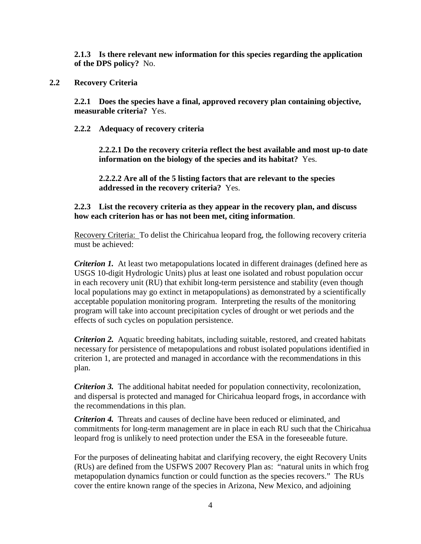**2.1.3 Is there relevant new information for this species regarding the application of the DPS policy?** No.

## **2.2 Recovery Criteria**

**2.2.1 Does the species have a final, approved recovery plan containing objective, measurable criteria?** Yes.

### **2.2.2 Adequacy of recovery criteria**

**2.2.2.1 Do the recovery criteria reflect the best available and most up-to date information on the biology of the species and its habitat?** Yes.

**2.2.2.2 Are all of the 5 listing factors that are relevant to the species addressed in the recovery criteria?** Yes.

## **2.2.3 List the recovery criteria as they appear in the recovery plan, and discuss how each criterion has or has not been met, citing information**.

Recovery Criteria: To delist the Chiricahua leopard frog, the following recovery criteria must be achieved:

*Criterion 1.* At least two metapopulations located in different drainages (defined here as USGS 10-digit Hydrologic Units) plus at least one isolated and robust population occur in each recovery unit (RU) that exhibit long-term persistence and stability (even though local populations may go extinct in metapopulations) as demonstrated by a scientifically acceptable population monitoring program. Interpreting the results of the monitoring program will take into account precipitation cycles of drought or wet periods and the effects of such cycles on population persistence.

*Criterion 2.* Aquatic breeding habitats, including suitable, restored, and created habitats necessary for persistence of metapopulations and robust isolated populations identified in criterion 1, are protected and managed in accordance with the recommendations in this plan.

*Criterion 3.* The additional habitat needed for population connectivity, recolonization, and dispersal is protected and managed for Chiricahua leopard frogs, in accordance with the recommendations in this plan.

*Criterion 4.* Threats and causes of decline have been reduced or eliminated, and commitments for long-term management are in place in each RU such that the Chiricahua leopard frog is unlikely to need protection under the ESA in the foreseeable future.

For the purposes of delineating habitat and clarifying recovery, the eight Recovery Units (RUs) are defined from the USFWS 2007 Recovery Plan as: "natural units in which frog metapopulation dynamics function or could function as the species recovers." The RUs cover the entire known range of the species in Arizona, New Mexico, and adjoining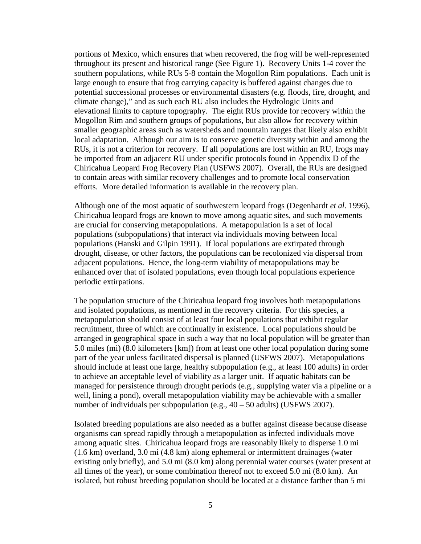portions of Mexico, which ensures that when recovered, the frog will be well-represented throughout its present and historical range (See Figure 1). Recovery Units 1-4 cover the southern populations, while RUs 5-8 contain the Mogollon Rim populations. Each unit is large enough to ensure that frog carrying capacity is buffered against changes due to potential successional processes or environmental disasters (e.g. floods, fire, drought, and climate change)," and as such each RU also includes the Hydrologic Units and elevational limits to capture topography. The eight RUs provide for recovery within the Mogollon Rim and southern groups of populations, but also allow for recovery within smaller geographic areas such as watersheds and mountain ranges that likely also exhibit local adaptation. Although our aim is to conserve genetic diversity within and among the RUs, it is not a criterion for recovery. If all populations are lost within an RU, frogs may be imported from an adjacent RU under specific protocols found in Appendix D of the Chiricahua Leopard Frog Recovery Plan (USFWS 2007). Overall, the RUs are designed to contain areas with similar recovery challenges and to promote local conservation efforts. More detailed information is available in the recovery plan.

Although one of the most aquatic of southwestern leopard frogs (Degenhardt *et al.* 1996), Chiricahua leopard frogs are known to move among aquatic sites, and such movements are crucial for conserving metapopulations. A metapopulation is a set of local populations (subpopulations) that interact via individuals moving between local populations (Hanski and Gilpin 1991). If local populations are extirpated through drought, disease, or other factors, the populations can be recolonized via dispersal from adjacent populations. Hence, the long-term viability of metapopulations may be enhanced over that of isolated populations, even though local populations experience periodic extirpations.

The population structure of the Chiricahua leopard frog involves both metapopulations and isolated populations, as mentioned in the recovery criteria. For this species, a metapopulation should consist of at least four local populations that exhibit regular recruitment, three of which are continually in existence. Local populations should be arranged in geographical space in such a way that no local population will be greater than 5.0 miles (mi) (8.0 kilometers [km]) from at least one other local population during some part of the year unless facilitated dispersal is planned (USFWS 2007). Metapopulations should include at least one large, healthy subpopulation (e.g., at least 100 adults) in order to achieve an acceptable level of viability as a larger unit. If aquatic habitats can be managed for persistence through drought periods (e.g., supplying water via a pipeline or a well, lining a pond), overall metapopulation viability may be achievable with a smaller number of individuals per subpopulation (e.g.,  $40 - 50$  adults) (USFWS 2007).

Isolated breeding populations are also needed as a buffer against disease because disease organisms can spread rapidly through a metapopulation as infected individuals move among aquatic sites. Chiricahua leopard frogs are reasonably likely to disperse 1.0 mi (1.6 km) overland, 3.0 mi (4.8 km) along ephemeral or intermittent drainages (water existing only briefly), and 5.0 mi (8.0 km) along perennial water courses (water present at all times of the year), or some combination thereof not to exceed 5.0 mi (8.0 km). An isolated, but robust breeding population should be located at a distance farther than 5 mi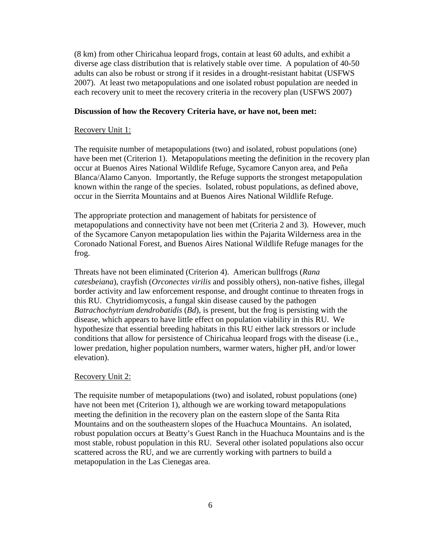(8 km) from other Chiricahua leopard frogs, contain at least 60 adults, and exhibit a diverse age class distribution that is relatively stable over time. A population of 40-50 adults can also be robust or strong if it resides in a drought-resistant habitat (USFWS 2007). At least two metapopulations and one isolated robust population are needed in each recovery unit to meet the recovery criteria in the recovery plan (USFWS 2007)

### **Discussion of how the Recovery Criteria have, or have not, been met:**

### Recovery Unit 1:

The requisite number of metapopulations (two) and isolated, robust populations (one) have been met (Criterion 1). Metapopulations meeting the definition in the recovery plan occur at Buenos Aires National Wildlife Refuge, Sycamore Canyon area, and Peña Blanca/Alamo Canyon. Importantly, the Refuge supports the strongest metapopulation known within the range of the species. Isolated, robust populations, as defined above, occur in the Sierrita Mountains and at Buenos Aires National Wildlife Refuge.

The appropriate protection and management of habitats for persistence of metapopulations and connectivity have not been met (Criteria 2 and 3). However, much of the Sycamore Canyon metapopulation lies within the Pajarita Wilderness area in the Coronado National Forest, and Buenos Aires National Wildlife Refuge manages for the frog.

Threats have not been eliminated (Criterion 4). American bullfrogs (*Rana catesbeiana*), crayfish (*Orconectes virilis* and possibly others), non-native fishes, illegal border activity and law enforcement response, and drought continue to threaten frogs in this RU. Chytridiomycosis, a fungal skin disease caused by the pathogen *Batrachochytrium dendrobatidis* (*Bd*), is present, but the frog is persisting with the disease, which appears to have little effect on population viability in this RU. We hypothesize that essential breeding habitats in this RU either lack stressors or include conditions that allow for persistence of Chiricahua leopard frogs with the disease (i.e., lower predation, higher population numbers, warmer waters, higher pH, and/or lower elevation).

## Recovery Unit 2:

The requisite number of metapopulations (two) and isolated, robust populations (one) have not been met (Criterion 1), although we are working toward metapopulations meeting the definition in the recovery plan on the eastern slope of the Santa Rita Mountains and on the southeastern slopes of the Huachuca Mountains. An isolated, robust population occurs at Beatty's Guest Ranch in the Huachuca Mountains and is the most stable, robust population in this RU. Several other isolated populations also occur scattered across the RU, and we are currently working with partners to build a metapopulation in the Las Cienegas area.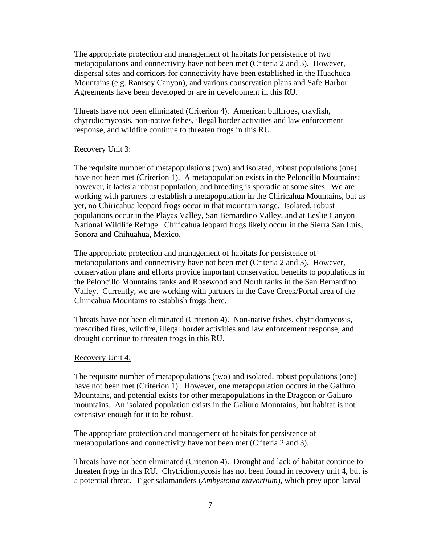The appropriate protection and management of habitats for persistence of two metapopulations and connectivity have not been met (Criteria 2 and 3). However, dispersal sites and corridors for connectivity have been established in the Huachuca Mountains (e.g. Ramsey Canyon), and various conservation plans and Safe Harbor Agreements have been developed or are in development in this RU.

Threats have not been eliminated (Criterion 4). American bullfrogs, crayfish, chytridiomycosis, non-native fishes, illegal border activities and law enforcement response, and wildfire continue to threaten frogs in this RU.

### Recovery Unit 3:

The requisite number of metapopulations (two) and isolated, robust populations (one) have not been met (Criterion 1). A metapopulation exists in the Peloncillo Mountains; however, it lacks a robust population, and breeding is sporadic at some sites. We are working with partners to establish a metapopulation in the Chiricahua Mountains, but as yet, no Chiricahua leopard frogs occur in that mountain range. Isolated, robust populations occur in the Playas Valley, San Bernardino Valley, and at Leslie Canyon National Wildlife Refuge. Chiricahua leopard frogs likely occur in the Sierra San Luis, Sonora and Chihuahua, Mexico.

The appropriate protection and management of habitats for persistence of metapopulations and connectivity have not been met (Criteria 2 and 3). However, conservation plans and efforts provide important conservation benefits to populations in the Peloncillo Mountains tanks and Rosewood and North tanks in the San Bernardino Valley. Currently, we are working with partners in the Cave Creek/Portal area of the Chiricahua Mountains to establish frogs there.

Threats have not been eliminated (Criterion 4). Non-native fishes, chytridomycosis, prescribed fires, wildfire, illegal border activities and law enforcement response, and drought continue to threaten frogs in this RU.

## Recovery Unit 4:

The requisite number of metapopulations (two) and isolated, robust populations (one) have not been met (Criterion 1). However, one metapopulation occurs in the Galiuro Mountains, and potential exists for other metapopulations in the Dragoon or Galiuro mountains. An isolated population exists in the Galiuro Mountains, but habitat is not extensive enough for it to be robust.

The appropriate protection and management of habitats for persistence of metapopulations and connectivity have not been met (Criteria 2 and 3).

Threats have not been eliminated (Criterion 4). Drought and lack of habitat continue to threaten frogs in this RU. Chytridiomycosis has not been found in recovery unit 4, but is a potential threat. Tiger salamanders (*Ambystoma mavortium*), which prey upon larval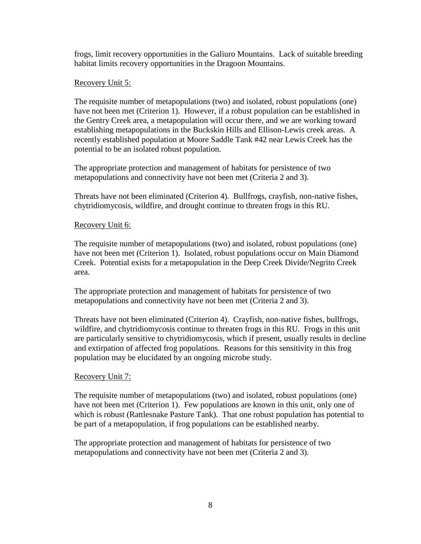frogs, limit recovery opportunities in the Galiuro Mountains. Lack of suitable breeding habitat limits recovery opportunities in the Dragoon Mountains.

## Recovery Unit 5:

The requisite number of metapopulations (two) and isolated, robust populations (one) have not been met (Criterion 1). However, if a robust population can be established in the Gentry Creek area, a metapopulation will occur there, and we are working toward establishing metapopulations in the Buckskin Hills and Ellison-Lewis creek areas. A recently established population at Moore Saddle Tank #42 near Lewis Creek has the potential to be an isolated robust population.

The appropriate protection and management of habitats for persistence of two metapopulations and connectivity have not been met (Criteria 2 and 3).

Threats have not been eliminated (Criterion 4). Bullfrogs, crayfish, non-native fishes, chytridiomycosis, wildfire, and drought continue to threaten frogs in this RU.

## Recovery Unit 6:

The requisite number of metapopulations (two) and isolated, robust populations (one) have not been met (Criterion 1). Isolated, robust populations occur on Main Diamond Creek. Potential exists for a metapopulation in the Deep Creek Divide/Negrito Creek area.

The appropriate protection and management of habitats for persistence of two metapopulations and connectivity have not been met (Criteria 2 and 3).

Threats have not been eliminated (Criterion 4). Crayfish, non-native fishes, bullfrogs, wildfire, and chytridiomycosis continue to threaten frogs in this RU. Frogs in this unit are particularly sensitive to chytridiomycosis, which if present, usually results in decline and extirpation of affected frog populations. Reasons for this sensitivity in this frog population may be elucidated by an ongoing microbe study.

## Recovery Unit 7:

The requisite number of metapopulations (two) and isolated, robust populations (one) have not been met (Criterion 1). Few populations are known in this unit, only one of which is robust (Rattlesnake Pasture Tank). That one robust population has potential to be part of a metapopulation, if frog populations can be established nearby.

The appropriate protection and management of habitats for persistence of two metapopulations and connectivity have not been met (Criteria 2 and 3).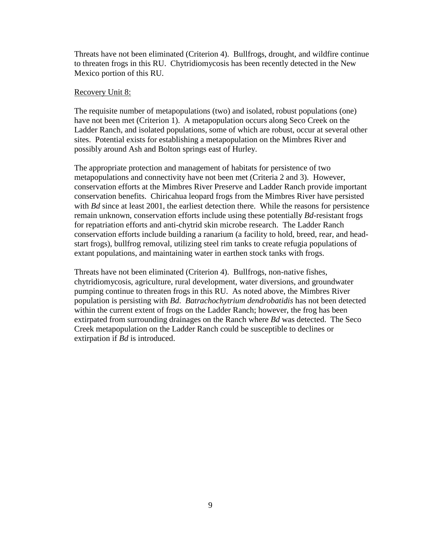Threats have not been eliminated (Criterion 4). Bullfrogs, drought, and wildfire continue to threaten frogs in this RU. Chytridiomycosis has been recently detected in the New Mexico portion of this RU.

#### Recovery Unit 8:

The requisite number of metapopulations (two) and isolated, robust populations (one) have not been met (Criterion 1). A metapopulation occurs along Seco Creek on the Ladder Ranch, and isolated populations, some of which are robust, occur at several other sites. Potential exists for establishing a metapopulation on the Mimbres River and possibly around Ash and Bolton springs east of Hurley.

The appropriate protection and management of habitats for persistence of two metapopulations and connectivity have not been met (Criteria 2 and 3). However, conservation efforts at the Mimbres River Preserve and Ladder Ranch provide important conservation benefits. Chiricahua leopard frogs from the Mimbres River have persisted with *Bd* since at least 2001, the earliest detection there. While the reasons for persistence remain unknown, conservation efforts include using these potentially *Bd*-resistant frogs for repatriation efforts and anti-chytrid skin microbe research. The Ladder Ranch conservation efforts include building a ranarium (a facility to hold, breed, rear, and headstart frogs), bullfrog removal, utilizing steel rim tanks to create refugia populations of extant populations, and maintaining water in earthen stock tanks with frogs.

Threats have not been eliminated (Criterion 4). Bullfrogs, non-native fishes, chytridiomycosis, agriculture, rural development, water diversions, and groundwater pumping continue to threaten frogs in this RU. As noted above, the Mimbres River population is persisting with *Bd*. *Batrachochytrium dendrobatidis* has not been detected within the current extent of frogs on the Ladder Ranch; however, the frog has been extirpated from surrounding drainages on the Ranch where *Bd* was detected. The Seco Creek metapopulation on the Ladder Ranch could be susceptible to declines or extirpation if *Bd* is introduced.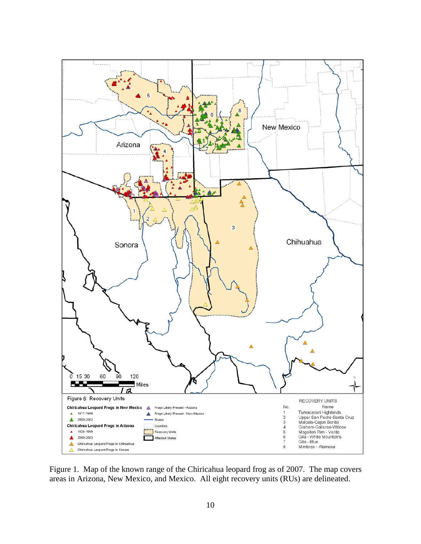

Figure 1. Map of the known range of the Chiricahua leopard frog as of 2007.The map covers areas in Arizona, New Mexico, and Mexico. All eight recovery units (RUs) are delineated.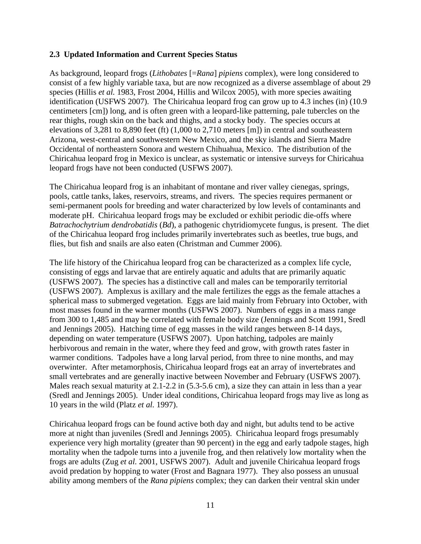## **2.3 Updated Information and Current Species Status**

As background, leopard frogs (*Lithobates* [=*Rana*] *pipiens* complex), were long considered to consist of a few highly variable taxa, but are now recognized as a diverse assemblage of about 29 species (Hillis *et al.* 1983, Frost 2004, Hillis and Wilcox 2005), with more species awaiting identification (USFWS 2007). The Chiricahua leopard frog can grow up to 4.3 inches (in) (10.9 centimeters [cm]) long, and is often green with a leopard-like patterning, pale tubercles on the rear thighs, rough skin on the back and thighs, and a stocky body. The species occurs at elevations of 3,281 to 8,890 feet (ft) (1,000 to 2,710 meters [m]) in central and southeastern Arizona, west-central and southwestern New Mexico, and the sky islands and Sierra Madre Occidental of northeastern Sonora and western Chihuahua, Mexico. The distribution of the Chiricahua leopard frog in Mexico is unclear, as systematic or intensive surveys for Chiricahua leopard frogs have not been conducted (USFWS 2007).

The Chiricahua leopard frog is an inhabitant of montane and river valley cienegas, springs, pools, cattle tanks, lakes, reservoirs, streams, and rivers. The species requires permanent or semi-permanent pools for breeding and water characterized by low levels of contaminants and moderate pH. Chiricahua leopard frogs may be excluded or exhibit periodic die-offs where *Batrachochytrium dendrobatidis* (*Bd*), a pathogenic chytridiomycete fungus, is present. The diet of the Chiricahua leopard frog includes primarily invertebrates such as beetles, true bugs, and flies, but fish and snails are also eaten (Christman and Cummer 2006).

The life history of the Chiricahua leopard frog can be characterized as a complex life cycle, consisting of eggs and larvae that are entirely aquatic and adults that are primarily aquatic (USFWS 2007). The species has a distinctive call and males can be temporarily territorial (USFWS 2007). Amplexus is axillary and the male fertilizes the eggs as the female attaches a spherical mass to submerged vegetation. Eggs are laid mainly from February into October, with most masses found in the warmer months (USFWS 2007). Numbers of eggs in a mass range from 300 to 1,485 and may be correlated with female body size (Jennings and Scott 1991, Sredl and Jennings 2005). Hatching time of egg masses in the wild ranges between 8-14 days, depending on water temperature (USFWS 2007). Upon hatching, tadpoles are mainly herbivorous and remain in the water, where they feed and grow, with growth rates faster in warmer conditions. Tadpoles have a long larval period, from three to nine months, and may overwinter. After metamorphosis, Chiricahua leopard frogs eat an array of invertebrates and small vertebrates and are generally inactive between November and February (USFWS 2007). Males reach sexual maturity at 2.1-2.2 in (5.3-5.6 cm), a size they can attain in less than a year (Sredl and Jennings 2005). Under ideal conditions, Chiricahua leopard frogs may live as long as 10 years in the wild (Platz *et al.* 1997).

Chiricahua leopard frogs can be found active both day and night, but adults tend to be active more at night than juveniles (Sredl and Jennings 2005). Chiricahua leopard frogs presumably experience very high mortality (greater than 90 percent) in the egg and early tadpole stages, high mortality when the tadpole turns into a juvenile frog, and then relatively low mortality when the frogs are adults (Zug *et al.* 2001, USFWS 2007). Adult and juvenile Chiricahua leopard frogs avoid predation by hopping to water (Frost and Bagnara 1977). They also possess an unusual ability among members of the *Rana pipiens* complex; they can darken their ventral skin under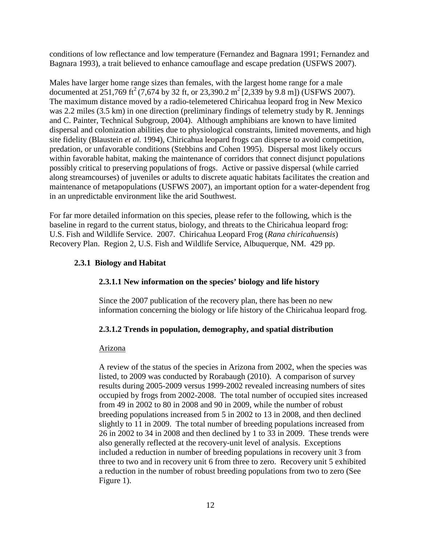conditions of low reflectance and low temperature (Fernandez and Bagnara 1991; Fernandez and Bagnara 1993), a trait believed to enhance camouflage and escape predation (USFWS 2007).

Males have larger home range sizes than females, with the largest home range for a male documented at 251,769 ft<sup>2</sup> (7,674 by 32 ft, or 23,390.2 m<sup>2</sup> [2,339 by 9.8 m]) (USFWS 2007). The maximum distance moved by a radio-telemetered Chiricahua leopard frog in New Mexico was 2.2 miles (3.5 km) in one direction (preliminary findings of telemetry study by R. Jennings and C. Painter, Technical Subgroup, 2004). Although amphibians are known to have limited dispersal and colonization abilities due to physiological constraints, limited movements, and high site fidelity (Blaustein *et al.* 1994), Chiricahua leopard frogs can disperse to avoid competition, predation, or unfavorable conditions (Stebbins and Cohen 1995). Dispersal most likely occurs within favorable habitat, making the maintenance of corridors that connect disjunct populations possibly critical to preserving populations of frogs. Active or passive dispersal (while carried along streamcourses) of juveniles or adults to discrete aquatic habitats facilitates the creation and maintenance of metapopulations (USFWS 2007), an important option for a water-dependent frog in an unpredictable environment like the arid Southwest.

For far more detailed information on this species, please refer to the following, which is the baseline in regard to the current status, biology, and threats to the Chiricahua leopard frog: U.S. Fish and Wildlife Service. 2007. Chiricahua Leopard Frog (*Rana chiricahuensis*) Recovery Plan. Region 2, U.S. Fish and Wildlife Service, Albuquerque, NM. 429 pp.

## **2.3.1 Biology and Habitat**

## **2.3.1.1 New information on the species' biology and life history**

Since the 2007 publication of the recovery plan, there has been no new information concerning the biology or life history of the Chiricahua leopard frog.

## **2.3.1.2 Trends in population, demography, and spatial distribution**

## Arizona

A review of the status of the species in Arizona from 2002, when the species was listed, to 2009 was conducted by Rorabaugh (2010). A comparison of survey results during 2005-2009 versus 1999-2002 revealed increasing numbers of sites occupied by frogs from 2002-2008. The total number of occupied sites increased from 49 in 2002 to 80 in 2008 and 90 in 2009, while the number of robust breeding populations increased from 5 in 2002 to 13 in 2008, and then declined slightly to 11 in 2009. The total number of breeding populations increased from 26 in 2002 to 34 in 2008 and then declined by 1 to 33 in 2009. These trends were also generally reflected at the recovery-unit level of analysis. Exceptions included a reduction in number of breeding populations in recovery unit 3 from three to two and in recovery unit 6 from three to zero. Recovery unit 5 exhibited a reduction in the number of robust breeding populations from two to zero (See Figure 1).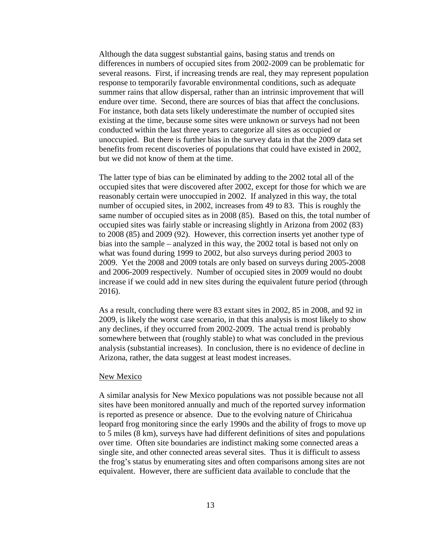Although the data suggest substantial gains, basing status and trends on differences in numbers of occupied sites from 2002-2009 can be problematic for several reasons. First, if increasing trends are real, they may represent population response to temporarily favorable environmental conditions, such as adequate summer rains that allow dispersal, rather than an intrinsic improvement that will endure over time. Second, there are sources of bias that affect the conclusions. For instance, both data sets likely underestimate the number of occupied sites existing at the time, because some sites were unknown or surveys had not been conducted within the last three years to categorize all sites as occupied or unoccupied. But there is further bias in the survey data in that the 2009 data set benefits from recent discoveries of populations that could have existed in 2002, but we did not know of them at the time.

The latter type of bias can be eliminated by adding to the 2002 total all of the occupied sites that were discovered after 2002, except for those for which we are reasonably certain were unoccupied in 2002. If analyzed in this way, the total number of occupied sites, in 2002, increases from 49 to 83. This is roughly the same number of occupied sites as in 2008 (85). Based on this, the total number of occupied sites was fairly stable or increasing slightly in Arizona from 2002 (83) to 2008 (85) and 2009 (92). However, this correction inserts yet another type of bias into the sample – analyzed in this way, the 2002 total is based not only on what was found during 1999 to 2002, but also surveys during period 2003 to 2009. Yet the 2008 and 2009 totals are only based on surveys during 2005-2008 and 2006-2009 respectively. Number of occupied sites in 2009 would no doubt increase if we could add in new sites during the equivalent future period (through 2016).

As a result, concluding there were 83 extant sites in 2002, 85 in 2008, and 92 in 2009, is likely the worst case scenario, in that this analysis is most likely to show any declines, if they occurred from 2002-2009. The actual trend is probably somewhere between that (roughly stable) to what was concluded in the previous analysis (substantial increases). In conclusion, there is no evidence of decline in Arizona, rather, the data suggest at least modest increases.

#### New Mexico

A similar analysis for New Mexico populations was not possible because not all sites have been monitored annually and much of the reported survey information is reported as presence or absence. Due to the evolving nature of Chiricahua leopard frog monitoring since the early 1990s and the ability of frogs to move up to 5 miles (8 km), surveys have had different definitions of sites and populations over time. Often site boundaries are indistinct making some connected areas a single site, and other connected areas several sites. Thus it is difficult to assess the frog's status by enumerating sites and often comparisons among sites are not equivalent. However, there are sufficient data available to conclude that the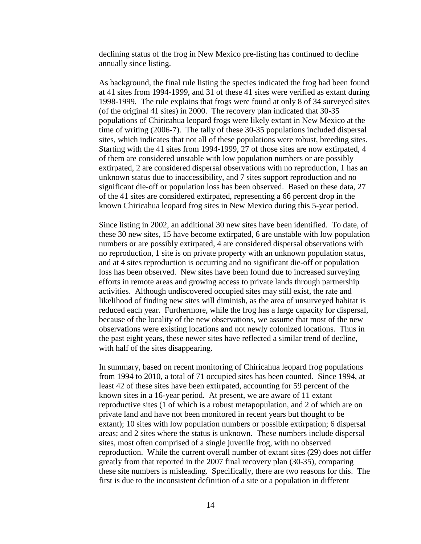declining status of the frog in New Mexico pre-listing has continued to decline annually since listing.

As background, the final rule listing the species indicated the frog had been found at 41 sites from 1994-1999, and 31 of these 41 sites were verified as extant during 1998-1999. The rule explains that frogs were found at only 8 of 34 surveyed sites (of the original 41 sites) in 2000. The recovery plan indicated that 30-35 populations of Chiricahua leopard frogs were likely extant in New Mexico at the time of writing (2006-7). The tally of these 30-35 populations included dispersal sites, which indicates that not all of these populations were robust, breeding sites. Starting with the 41 sites from 1994-1999, 27 of those sites are now extirpated, 4 of them are considered unstable with low population numbers or are possibly extirpated, 2 are considered dispersal observations with no reproduction, 1 has an unknown status due to inaccessibility, and 7 sites support reproduction and no significant die-off or population loss has been observed. Based on these data, 27 of the 41 sites are considered extirpated, representing a 66 percent drop in the known Chiricahua leopard frog sites in New Mexico during this 5-year period.

Since listing in 2002, an additional 30 new sites have been identified. To date, of these 30 new sites, 15 have become extirpated, 6 are unstable with low population numbers or are possibly extirpated, 4 are considered dispersal observations with no reproduction, 1 site is on private property with an unknown population status, and at 4 sites reproduction is occurring and no significant die-off or population loss has been observed. New sites have been found due to increased surveying efforts in remote areas and growing access to private lands through partnership activities. Although undiscovered occupied sites may still exist, the rate and likelihood of finding new sites will diminish, as the area of unsurveyed habitat is reduced each year. Furthermore, while the frog has a large capacity for dispersal, because of the locality of the new observations, we assume that most of the new observations were existing locations and not newly colonized locations. Thus in the past eight years, these newer sites have reflected a similar trend of decline, with half of the sites disappearing.

In summary, based on recent monitoring of Chiricahua leopard frog populations from 1994 to 2010, a total of 71 occupied sites has been counted. Since 1994, at least 42 of these sites have been extirpated, accounting for 59 percent of the known sites in a 16-year period. At present, we are aware of 11 extant reproductive sites (1 of which is a robust metapopulation, and 2 of which are on private land and have not been monitored in recent years but thought to be extant); 10 sites with low population numbers or possible extirpation; 6 dispersal areas; and 2 sites where the status is unknown. These numbers include dispersal sites, most often comprised of a single juvenile frog, with no observed reproduction. While the current overall number of extant sites (29) does not differ greatly from that reported in the 2007 final recovery plan (30-35), comparing these site numbers is misleading. Specifically, there are two reasons for this. The first is due to the inconsistent definition of a site or a population in different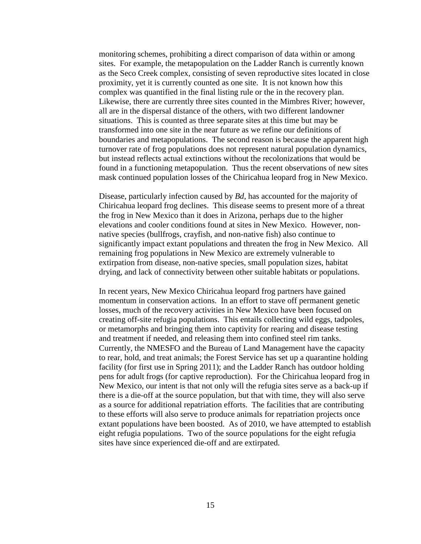monitoring schemes, prohibiting a direct comparison of data within or among sites. For example, the metapopulation on the Ladder Ranch is currently known as the Seco Creek complex, consisting of seven reproductive sites located in close proximity, yet it is currently counted as one site. It is not known how this complex was quantified in the final listing rule or the in the recovery plan. Likewise, there are currently three sites counted in the Mimbres River; however, all are in the dispersal distance of the others, with two different landowner situations. This is counted as three separate sites at this time but may be transformed into one site in the near future as we refine our definitions of boundaries and metapopulations. The second reason is because the apparent high turnover rate of frog populations does not represent natural population dynamics, but instead reflects actual extinctions without the recolonizations that would be found in a functioning metapopulation. Thus the recent observations of new sites mask continued population losses of the Chiricahua leopard frog in New Mexico.

Disease, particularly infection caused by *Bd*, has accounted for the majority of Chiricahua leopard frog declines. This disease seems to present more of a threat the frog in New Mexico than it does in Arizona, perhaps due to the higher elevations and cooler conditions found at sites in New Mexico. However, nonnative species (bullfrogs, crayfish, and non-native fish) also continue to significantly impact extant populations and threaten the frog in New Mexico. All remaining frog populations in New Mexico are extremely vulnerable to extirpation from disease, non-native species, small population sizes, habitat drying, and lack of connectivity between other suitable habitats or populations.

In recent years, New Mexico Chiricahua leopard frog partners have gained momentum in conservation actions. In an effort to stave off permanent genetic losses, much of the recovery activities in New Mexico have been focused on creating off-site refugia populations. This entails collecting wild eggs, tadpoles, or metamorphs and bringing them into captivity for rearing and disease testing and treatment if needed, and releasing them into confined steel rim tanks. Currently, the NMESFO and the Bureau of Land Management have the capacity to rear, hold, and treat animals; the Forest Service has set up a quarantine holding facility (for first use in Spring 2011); and the Ladder Ranch has outdoor holding pens for adult frogs (for captive reproduction). For the Chiricahua leopard frog in New Mexico, our intent is that not only will the refugia sites serve as a back-up if there is a die-off at the source population, but that with time, they will also serve as a source for additional repatriation efforts. The facilities that are contributing to these efforts will also serve to produce animals for repatriation projects once extant populations have been boosted. As of 2010, we have attempted to establish eight refugia populations. Two of the source populations for the eight refugia sites have since experienced die-off and are extirpated.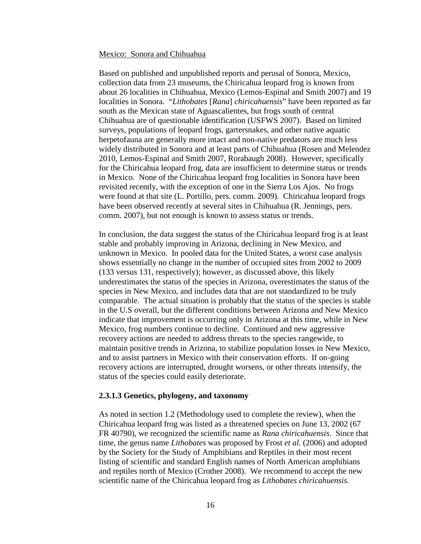#### Mexico: Sonora and Chihuahua

Based on published and unpublished reports and perusal of Sonora, Mexico, collection data from 23 museums, the Chiricahua leopard frog is known from about 26 localities in Chihuahua, Mexico (Lemos-Espinal and Smith 2007) and 19 localities in Sonora. "*Lithobates* [*Rana*] *chiricahuensis*" have been reported as far south as the Mexican state of Aguascalientes, but frogs south of central Chihuahua are of questionable identification (USFWS 2007). Based on limited surveys, populations of leopard frogs, gartersnakes, and other native aquatic herpetofauna are generally more intact and non-native predators are much less widely distributed in Sonora and at least parts of Chihuahua (Rosen and Melendez 2010, Lemos-Espinal and Smith 2007, Rorabaugh 2008). However, specifically for the Chiricahua leopard frog, data are insufficient to determine status or trends in Mexico. None of the Chiricahua leopard frog localities in Sonora have been revisited recently, with the exception of one in the Sierra Los Ajos. No frogs were found at that site (L. Portillo, pers. comm. 2009). Chiricahua leopard frogs have been observed recently at several sites in Chihuahua (R. Jennings, pers. comm. 2007), but not enough is known to assess status or trends.

In conclusion, the data suggest the status of the Chiricahua leopard frog is at least stable and probably improving in Arizona, declining in New Mexico, and unknown in Mexico. In pooled data for the United States, a worst case analysis shows essentially no change in the number of occupied sites from 2002 to 2009 (133 versus 131, respectively); however, as discussed above, this likely underestimates the status of the species in Arizona, overestimates the status of the species in New Mexico, and includes data that are not standardized to be truly comparable. The actual situation is probably that the status of the species is stable in the U.S overall, but the different conditions between Arizona and New Mexico indicate that improvement is occurring only in Arizona at this time, while in New Mexico, frog numbers continue to decline. Continued and new aggressive recovery actions are needed to address threats to the species rangewide, to maintain positive trends in Arizona, to stabilize population losses in New Mexico, and to assist partners in Mexico with their conservation efforts. If on-going recovery actions are interrupted, drought worsens, or other threats intensify, the status of the species could easily deteriorate.

#### **2.3.1.3 Genetics, phylogeny, and taxonomy**

As noted in section 1.2 (Methodology used to complete the review), when the Chiricahua leopard frog was listed as a threatened species on June 13, 2002 (67 FR 40790), we recognized the scientific name as *Rana chiricahuensis*. Since that time, the genus name *Lithobates* was proposed by Frost *et al.* (2006) and adopted by the Society for the Study of Amphibians and Reptiles in their most recent listing of scientific and standard English names of North American amphibians and reptiles north of Mexico (Crother 2008). We recommend to accept the new scientific name of the Chiricahua leopard frog as *Lithobates chiricahuensis.*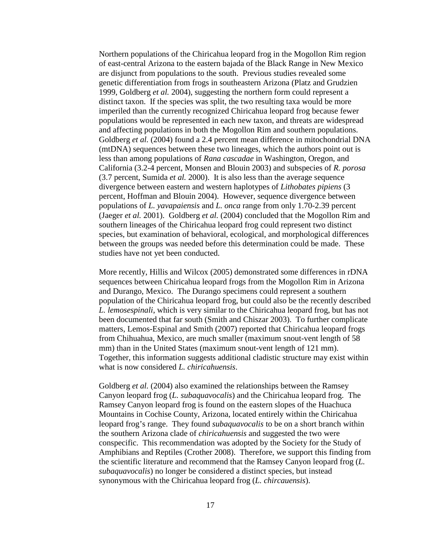Northern populations of the Chiricahua leopard frog in the Mogollon Rim region of east-central Arizona to the eastern bajada of the Black Range in New Mexico are disjunct from populations to the south. Previous studies revealed some genetic differentiation from frogs in southeastern Arizona (Platz and Grudzien 1999, Goldberg *et al.* 2004), suggesting the northern form could represent a distinct taxon. If the species was split, the two resulting taxa would be more imperiled than the currently recognized Chiricahua leopard frog because fewer populations would be represented in each new taxon, and threats are widespread and affecting populations in both the Mogollon Rim and southern populations. Goldberg *et al.* (2004) found a 2.4 percent mean difference in mitochondrial DNA (mtDNA) sequences between these two lineages, which the authors point out is less than among populations of *Rana cascadae* in Washington, Oregon, and California (3.2-4 percent, Monsen and Blouin 2003) and subspecies of *R. porosa*  (3.7 percent, Sumida *et al.* 2000). It is also less than the average sequence divergence between eastern and western haplotypes of *Lithobates pipiens* (3 percent, Hoffman and Blouin 2004). However, sequence divergence between populations of *L. yavapaiensis* and *L. onca* range from only 1.70-2.39 percent (Jaeger *et al.* 2001). Goldberg *et al.* (2004) concluded that the Mogollon Rim and southern lineages of the Chiricahua leopard frog could represent two distinct species, but examination of behavioral, ecological, and morphological differences between the groups was needed before this determination could be made. These studies have not yet been conducted.

More recently, Hillis and Wilcox (2005) demonstrated some differences in rDNA sequences between Chiricahua leopard frogs from the Mogollon Rim in Arizona and Durango, Mexico. The Durango specimens could represent a southern population of the Chiricahua leopard frog, but could also be the recently described *L. lemosespinali*, which is very similar to the Chiricahua leopard frog, but has not been documented that far south (Smith and Chiszar 2003). To further complicate matters, Lemos-Espinal and Smith (2007) reported that Chiricahua leopard frogs from Chihuahua, Mexico, are much smaller (maximum snout-vent length of 58 mm) than in the United States (maximum snout-vent length of 121 mm). Together, this information suggests additional cladistic structure may exist within what is now considered *L. chiricahuensis*.

Goldberg *et al.* (2004) also examined the relationships between the Ramsey Canyon leopard frog (*L. subaquavocalis*) and the Chiricahua leopard frog. The Ramsey Canyon leopard frog is found on the eastern slopes of the Huachuca Mountains in Cochise County, Arizona, located entirely within the Chiricahua leopard frog's range. They found *subaquavocalis* to be on a short branch within the southern Arizona clade of *chiricahuensis* and suggested the two were conspecific. This recommendation was adopted by the Society for the Study of Amphibians and Reptiles (Crother 2008). Therefore, we support this finding from the scientific literature and recommend that the Ramsey Canyon leopard frog (*L. subaquavocalis*) no longer be considered a distinct species, but instead synonymous with the Chiricahua leopard frog (*L. chircauensis*).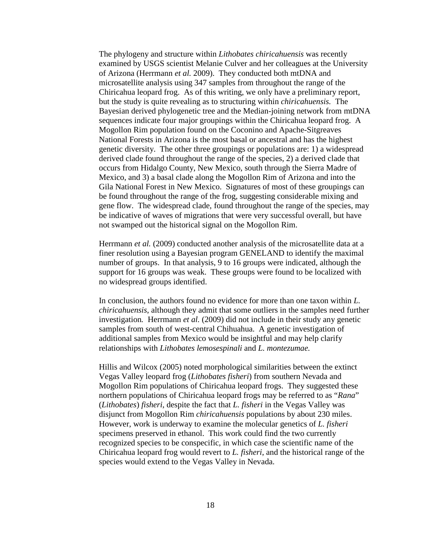The phylogeny and structure within *Lithobates chiricahuensis* was recently examined by USGS scientist Melanie Culver and her colleagues at the University of Arizona (Herrmann *et al.* 2009). They conducted both mtDNA and microsatellite analysis using 347 samples from throughout the range of the Chiricahua leopard frog. As of this writing, we only have a preliminary report, but the study is quite revealing as to structuring within *chiricahuensis.* The Bayesian derived phylogenetic tree and the Median-joining network from mtDNA sequences indicate four major groupings within the Chiricahua leopard frog. A Mogollon Rim population found on the Coconino and Apache-Sitgreaves National Forests in Arizona is the most basal or ancestral and has the highest genetic diversity. The other three groupings or populations are: 1) a widespread derived clade found throughout the range of the species, 2) a derived clade that occurs from Hidalgo County, New Mexico, south through the Sierra Madre of Mexico, and 3) a basal clade along the Mogollon Rim of Arizona and into the Gila National Forest in New Mexico. Signatures of most of these groupings can be found throughout the range of the frog, suggesting considerable mixing and gene flow. The widespread clade, found throughout the range of the species, may be indicative of waves of migrations that were very successful overall, but have not swamped out the historical signal on the Mogollon Rim.

Herrmann *et al.* (2009) conducted another analysis of the microsatellite data at a finer resolution using a Bayesian program GENELAND to identify the maximal number of groups. In that analysis, 9 to 16 groups were indicated, although the support for 16 groups was weak. These groups were found to be localized with no widespread groups identified.

In conclusion, the authors found no evidence for more than one taxon within *L. chiricahuensis*, although they admit that some outliers in the samples need further investigation*.* Herrmann *et al.* (2009) did not include in their study any genetic samples from south of west-central Chihuahua. A genetic investigation of additional samples from Mexico would be insightful and may help clarify relationships with *Lithobates lemosespinali* and *L. montezumae.* 

Hillis and Wilcox (2005) noted morphological similarities between the extinct Vegas Valley leopard frog (*Lithobates fisheri*) from southern Nevada and Mogollon Rim populations of Chiricahua leopard frogs. They suggested these northern populations of Chiricahua leopard frogs may be referred to as "*Rana*" (*Lithobates*) *fisheri*, despite the fact that *L. fisheri* in the Vegas Valley was disjunct from Mogollon Rim *chiricahuensis* populations by about 230 miles. However, work is underway to examine the molecular genetics of *L. fisheri*  specimens preserved in ethanol. This work could find the two currently recognized species to be conspecific, in which case the scientific name of the Chiricahua leopard frog would revert to *L. fisheri*, and the historical range of the species would extend to the Vegas Valley in Nevada.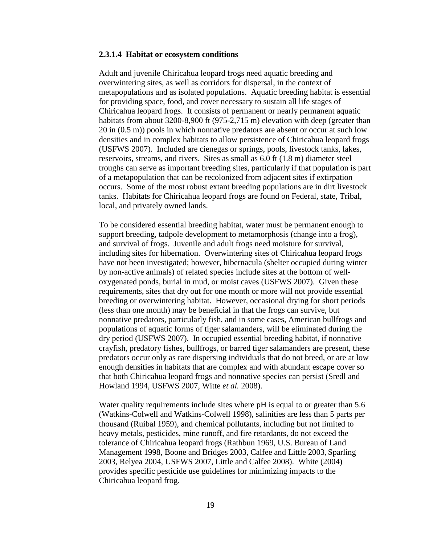#### **2.3.1.4 Habitat or ecosystem conditions**

Adult and juvenile Chiricahua leopard frogs need aquatic breeding and overwintering sites, as well as corridors for dispersal, in the context of metapopulations and as isolated populations. Aquatic breeding habitat is essential for providing space, food, and cover necessary to sustain all life stages of Chiricahua leopard frogs. It consists of permanent or nearly permanent aquatic habitats from about 3200-8,900 ft (975-2,715 m) elevation with deep (greater than 20 in (0.5 m)) pools in which nonnative predators are absent or occur at such low densities and in complex habitats to allow persistence of Chiricahua leopard frogs (USFWS 2007). Included are cienegas or springs, pools, livestock tanks, lakes, reservoirs, streams, and rivers. Sites as small as 6.0 ft (1.8 m) diameter steel troughs can serve as important breeding sites, particularly if that population is part of a metapopulation that can be recolonized from adjacent sites if extirpation occurs. Some of the most robust extant breeding populations are in dirt livestock tanks. Habitats for Chiricahua leopard frogs are found on Federal, state, Tribal, local, and privately owned lands.

To be considered essential breeding habitat, water must be permanent enough to support breeding, tadpole development to metamorphosis (change into a frog), and survival of frogs. Juvenile and adult frogs need moisture for survival, including sites for hibernation. Overwintering sites of Chiricahua leopard frogs have not been investigated; however, hibernacula (shelter occupied during winter by non-active animals) of related species include sites at the bottom of welloxygenated ponds, burial in mud, or moist caves (USFWS 2007). Given these requirements, sites that dry out for one month or more will not provide essential breeding or overwintering habitat. However, occasional drying for short periods (less than one month) may be beneficial in that the frogs can survive, but nonnative predators, particularly fish, and in some cases, American bullfrogs and populations of aquatic forms of tiger salamanders, will be eliminated during the dry period (USFWS 2007). In occupied essential breeding habitat, if nonnative crayfish, predatory fishes, bullfrogs, or barred tiger salamanders are present, these predators occur only as rare dispersing individuals that do not breed, or are at low enough densities in habitats that are complex and with abundant escape cover so that both Chiricahua leopard frogs and nonnative species can persist (Sredl and Howland 1994, USFWS 2007, Witte *et al.* 2008).

Water quality requirements include sites where pH is equal to or greater than 5.6 (Watkins-Colwell and Watkins-Colwell 1998), salinities are less than 5 parts per thousand (Ruibal 1959), and chemical pollutants, including but not limited to heavy metals, pesticides, mine runoff, and fire retardants, do not exceed the tolerance of Chiricahua leopard frogs (Rathbun 1969, U.S. Bureau of Land Management 1998, Boone and Bridges 2003, Calfee and Little 2003, Sparling 2003, Relyea 2004, USFWS 2007, Little and Calfee 2008). White (2004) provides specific pesticide use guidelines for minimizing impacts to the Chiricahua leopard frog.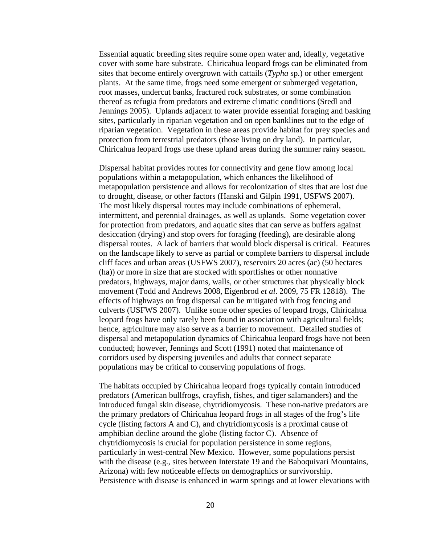Essential aquatic breeding sites require some open water and, ideally, vegetative cover with some bare substrate. Chiricahua leopard frogs can be eliminated from sites that become entirely overgrown with cattails (*Typha* sp.) or other emergent plants. At the same time, frogs need some emergent or submerged vegetation, root masses, undercut banks, fractured rock substrates, or some combination thereof as refugia from predators and extreme climatic conditions (Sredl and Jennings 2005). Uplands adjacent to water provide essential foraging and basking sites, particularly in riparian vegetation and on open banklines out to the edge of riparian vegetation. Vegetation in these areas provide habitat for prey species and protection from terrestrial predators (those living on dry land). In particular, Chiricahua leopard frogs use these upland areas during the summer rainy season.

Dispersal habitat provides routes for connectivity and gene flow among local populations within a metapopulation, which enhances the likelihood of metapopulation persistence and allows for recolonization of sites that are lost due to drought, disease, or other factors (Hanski and Gilpin 1991, USFWS 2007). The most likely dispersal routes may include combinations of ephemeral, intermittent, and perennial drainages, as well as uplands. Some vegetation cover for protection from predators, and aquatic sites that can serve as buffers against desiccation (drying) and stop overs for foraging (feeding), are desirable along dispersal routes. A lack of barriers that would block dispersal is critical. Features on the landscape likely to serve as partial or complete barriers to dispersal include cliff faces and urban areas (USFWS 2007), reservoirs 20 acres (ac) (50 hectares (ha)) or more in size that are stocked with sportfishes or other nonnative predators, highways, major dams, walls, or other structures that physically block movement (Todd and Andrews 2008, Eigenbrod *et al*. 2009, 75 FR 12818). The effects of highways on frog dispersal can be mitigated with frog fencing and culverts (USFWS 2007). Unlike some other species of leopard frogs, Chiricahua leopard frogs have only rarely been found in association with agricultural fields; hence, agriculture may also serve as a barrier to movement. Detailed studies of dispersal and metapopulation dynamics of Chiricahua leopard frogs have not been conducted; however, Jennings and Scott (1991) noted that maintenance of corridors used by dispersing juveniles and adults that connect separate populations may be critical to conserving populations of frogs.

The habitats occupied by Chiricahua leopard frogs typically contain introduced predators (American bullfrogs, crayfish, fishes, and tiger salamanders) and the introduced fungal skin disease, chytridiomycosis. These non-native predators are the primary predators of Chiricahua leopard frogs in all stages of the frog's life cycle (listing factors A and C), and chytridiomycosis is a proximal cause of amphibian decline around the globe (listing factor C). Absence of chytridiomycosis is crucial for population persistence in some regions, particularly in west-central New Mexico. However, some populations persist with the disease (e.g., sites between Interstate 19 and the Baboquivari Mountains, Arizona) with few noticeable effects on demographics or survivorship. Persistence with disease is enhanced in warm springs and at lower elevations with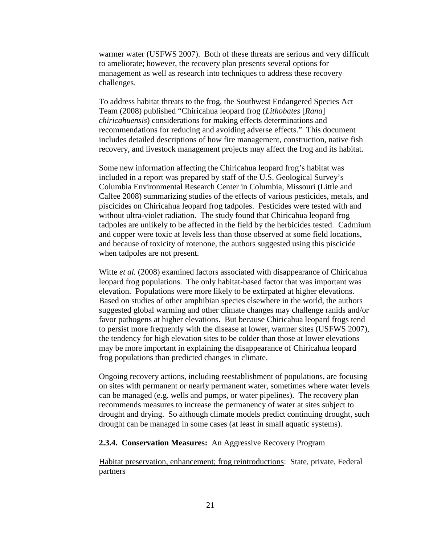warmer water (USFWS 2007). Both of these threats are serious and very difficult to ameliorate; however, the recovery plan presents several options for management as well as research into techniques to address these recovery challenges.

To address habitat threats to the frog, the Southwest Endangered Species Act Team (2008) published "Chiricahua leopard frog (*Lithobates* [*Rana*] *chiricahuensis*) considerations for making effects determinations and recommendations for reducing and avoiding adverse effects." This document includes detailed descriptions of how fire management, construction, native fish recovery, and livestock management projects may affect the frog and its habitat.

Some new information affecting the Chiricahua leopard frog's habitat was included in a report was prepared by staff of the U.S. Geological Survey's Columbia Environmental Research Center in Columbia, Missouri (Little and Calfee 2008) summarizing studies of the effects of various pesticides, metals, and piscicides on Chiricahua leopard frog tadpoles. Pesticides were tested with and without ultra-violet radiation. The study found that Chiricahua leopard frog tadpoles are unlikely to be affected in the field by the herbicides tested. Cadmium and copper were toxic at levels less than those observed at some field locations, and because of toxicity of rotenone, the authors suggested using this piscicide when tadpoles are not present.

Witte *et al.* (2008) examined factors associated with disappearance of Chiricahua leopard frog populations. The only habitat-based factor that was important was elevation. Populations were more likely to be extirpated at higher elevations. Based on studies of other amphibian species elsewhere in the world, the authors suggested global warming and other climate changes may challenge ranids and/or favor pathogens at higher elevations. But because Chiricahua leopard frogs tend to persist more frequently with the disease at lower, warmer sites (USFWS 2007), the tendency for high elevation sites to be colder than those at lower elevations may be more important in explaining the disappearance of Chiricahua leopard frog populations than predicted changes in climate.

Ongoing recovery actions, including reestablishment of populations, are focusing on sites with permanent or nearly permanent water, sometimes where water levels can be managed (e.g. wells and pumps, or water pipelines). The recovery plan recommends measures to increase the permanency of water at sites subject to drought and drying. So although climate models predict continuing drought, such drought can be managed in some cases (at least in small aquatic systems).

#### **2.3.4. Conservation Measures:** An Aggressive Recovery Program

Habitat preservation, enhancement; frog reintroductions: State, private, Federal partners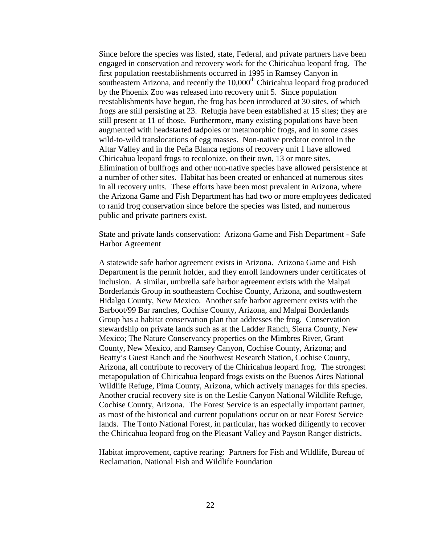Since before the species was listed, state, Federal, and private partners have been engaged in conservation and recovery work for the Chiricahua leopard frog. The first population reestablishments occurred in 1995 in Ramsey Canyon in southeastern Arizona, and recently the  $10,000<sup>th</sup>$  Chiricahua leopard frog produced by the Phoenix Zoo was released into recovery unit 5. Since population reestablishments have begun, the frog has been introduced at 30 sites, of which frogs are still persisting at 23. Refugia have been established at 15 sites; they are still present at 11 of those. Furthermore, many existing populations have been augmented with headstarted tadpoles or metamorphic frogs, and in some cases wild-to-wild translocations of egg masses. Non-native predator control in the Altar Valley and in the Peña Blanca regions of recovery unit 1 have allowed Chiricahua leopard frogs to recolonize, on their own, 13 or more sites. Elimination of bullfrogs and other non-native species have allowed persistence at a number of other sites. Habitat has been created or enhanced at numerous sites in all recovery units. These efforts have been most prevalent in Arizona, where the Arizona Game and Fish Department has had two or more employees dedicated to ranid frog conservation since before the species was listed, and numerous public and private partners exist.

### State and private lands conservation: Arizona Game and Fish Department - Safe Harbor Agreement

A statewide safe harbor agreement exists in Arizona. Arizona Game and Fish Department is the permit holder, and they enroll landowners under certificates of inclusion. A similar, umbrella safe harbor agreement exists with the Malpai Borderlands Group in southeastern Cochise County, Arizona, and southwestern Hidalgo County, New Mexico. Another safe harbor agreement exists with the Barboot/99 Bar ranches, Cochise County, Arizona, and Malpai Borderlands Group has a habitat conservation plan that addresses the frog. Conservation stewardship on private lands such as at the Ladder Ranch, Sierra County, New Mexico; The Nature Conservancy properties on the Mimbres River, Grant County, New Mexico, and Ramsey Canyon, Cochise County, Arizona; and Beatty's Guest Ranch and the Southwest Research Station, Cochise County, Arizona, all contribute to recovery of the Chiricahua leopard frog. The strongest metapopulation of Chiricahua leopard frogs exists on the Buenos Aires National Wildlife Refuge, Pima County, Arizona, which actively manages for this species. Another crucial recovery site is on the Leslie Canyon National Wildlife Refuge, Cochise County, Arizona. The Forest Service is an especially important partner, as most of the historical and current populations occur on or near Forest Service lands. The Tonto National Forest, in particular, has worked diligently to recover the Chiricahua leopard frog on the Pleasant Valley and Payson Ranger districts.

Habitat improvement, captive rearing: Partners for Fish and Wildlife, Bureau of Reclamation, National Fish and Wildlife Foundation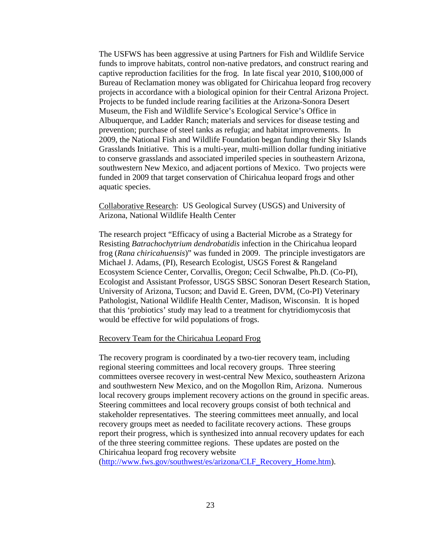The USFWS has been aggressive at using Partners for Fish and Wildlife Service funds to improve habitats, control non-native predators, and construct rearing and captive reproduction facilities for the frog. In late fiscal year 2010, \$100,000 of Bureau of Reclamation money was obligated for Chiricahua leopard frog recovery projects in accordance with a biological opinion for their Central Arizona Project. Projects to be funded include rearing facilities at the Arizona-Sonora Desert Museum, the Fish and Wildlife Service's Ecological Service's Office in Albuquerque, and Ladder Ranch; materials and services for disease testing and prevention; purchase of steel tanks as refugia; and habitat improvements. In 2009, the National Fish and Wildlife Foundation began funding their Sky Islands Grasslands Initiative.This is a multi-year, multi-million dollar funding initiative to conserve grasslands and associated imperiled species in southeastern Arizona, southwestern New Mexico, and adjacent portions of Mexico. Two projects were funded in 2009 that target conservation of Chiricahua leopard frogs and other aquatic species.

Collaborative Research: US Geological Survey (USGS) and University of Arizona, National Wildlife Health Center

The research project "Efficacy of using a Bacterial Microbe as a Strategy for Resisting *Batrachochytrium dendrobatidis* infection in the Chiricahua leopard frog (*Rana chiricahuensis*)" was funded in 2009. The principle investigators are Michael J. Adams, (PI), Research Ecologist, USGS Forest & Rangeland Ecosystem Science Center, Corvallis, Oregon; Cecil Schwalbe, Ph.D. (Co-PI), Ecologist and Assistant Professor, USGS SBSC Sonoran Desert Research Station, University of Arizona, Tucson; and David E. Green, DVM, (Co-PI) Veterinary Pathologist, National Wildlife Health Center, Madison, Wisconsin. It is hoped that this 'probiotics' study may lead to a treatment for chytridiomycosis that would be effective for wild populations of frogs.

#### Recovery Team for the Chiricahua Leopard Frog

The recovery program is coordinated by a two-tier recovery team, including regional steering committees and local recovery groups. Three steering committees oversee recovery in west-central New Mexico, southeastern Arizona and southwestern New Mexico, and on the Mogollon Rim, Arizona. Numerous local recovery groups implement recovery actions on the ground in specific areas. Steering committees and local recovery groups consist of both technical and stakeholder representatives. The steering committees meet annually, and local recovery groups meet as needed to facilitate recovery actions. These groups report their progress, which is synthesized into annual recovery updates for each of the three steering committee regions. These updates are posted on the Chiricahua leopard frog recovery website

[\(http://www.fws.gov/southwest/es/arizona/CLF\\_Recovery\\_Home.htm\)](http://www.fws.gov/southwest/es/arizona/CLF_Recovery_Home.htm).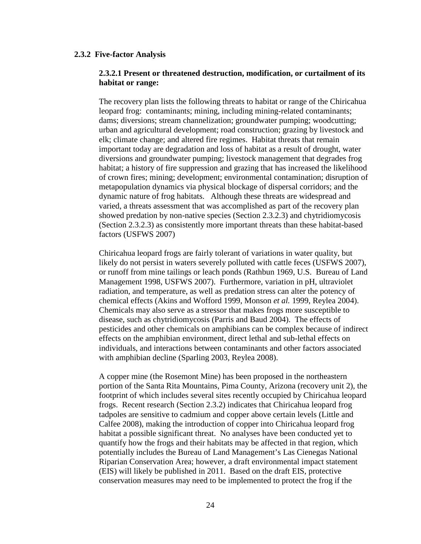#### **2.3.2 Five-factor Analysis**

### **2.3.2.1 Present or threatened destruction, modification, or curtailment of its habitat or range:**

The recovery plan lists the following threats to habitat or range of the Chiricahua leopard frog: contaminants; mining, including mining-related contaminants; dams; diversions; stream channelization; groundwater pumping; woodcutting; urban and agricultural development; road construction; grazing by livestock and elk; climate change; and altered fire regimes. Habitat threats that remain important today are degradation and loss of habitat as a result of drought, water diversions and groundwater pumping; livestock management that degrades frog habitat; a history of fire suppression and grazing that has increased the likelihood of crown fires; mining; development; environmental contamination; disruption of metapopulation dynamics via physical blockage of dispersal corridors; and the dynamic nature of frog habitats. Although these threats are widespread and varied, a threats assessment that was accomplished as part of the recovery plan showed predation by non-native species (Section 2.3.2.3) and chytridiomycosis (Section 2.3.2.3) as consistently more important threats than these habitat-based factors (USFWS 2007)

Chiricahua leopard frogs are fairly tolerant of variations in water quality, but likely do not persist in waters severely polluted with cattle feces (USFWS 2007), or runoff from mine tailings or leach ponds (Rathbun 1969, U.S. Bureau of Land Management 1998, USFWS 2007). Furthermore, variation in pH, ultraviolet radiation, and temperature, as well as predation stress can alter the potency of chemical effects (Akins and Wofford 1999, Monson *et al.* 1999, Reylea 2004). Chemicals may also serve as a stressor that makes frogs more susceptible to disease, such as chytridiomycosis (Parris and Baud 2004). The effects of pesticides and other chemicals on amphibians can be complex because of indirect effects on the amphibian environment, direct lethal and sub-lethal effects on individuals, and interactions between contaminants and other factors associated with amphibian decline (Sparling 2003, Reylea 2008).

A copper mine (the Rosemont Mine) has been proposed in the northeastern portion of the Santa Rita Mountains, Pima County, Arizona (recovery unit 2), the footprint of which includes several sites recently occupied by Chiricahua leopard frogs. Recent research (Section 2.3.2) indicates that Chiricahua leopard frog tadpoles are sensitive to cadmium and copper above certain levels (Little and Calfee 2008), making the introduction of copper into Chiricahua leopard frog habitat a possible significant threat. No analyses have been conducted yet to quantify how the frogs and their habitats may be affected in that region, which potentially includes the Bureau of Land Management's Las Cienegas National Riparian Conservation Area; however, a draft environmental impact statement (EIS) will likely be published in 2011. Based on the draft EIS, protective conservation measures may need to be implemented to protect the frog if the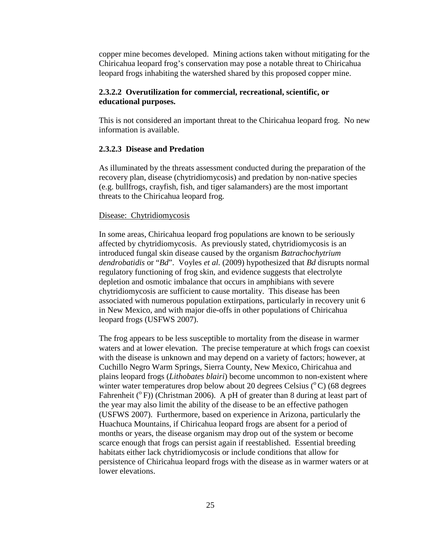copper mine becomes developed. Mining actions taken without mitigating for the Chiricahua leopard frog's conservation may pose a notable threat to Chiricahua leopard frogs inhabiting the watershed shared by this proposed copper mine.

## **2.3.2.2 Overutilization for commercial, recreational, scientific, or educational purposes.**

This is not considered an important threat to the Chiricahua leopard frog. No new information is available.

### **2.3.2.3 Disease and Predation**

As illuminated by the threats assessment conducted during the preparation of the recovery plan, disease (chytridiomycosis) and predation by non-native species (e.g. bullfrogs, crayfish, fish, and tiger salamanders) are the most important threats to the Chiricahua leopard frog.

### Disease: Chytridiomycosis

In some areas, Chiricahua leopard frog populations are known to be seriously affected by chytridiomycosis. As previously stated, chytridiomycosis is an introduced fungal skin disease caused by the organism *Batrachochytrium dendrobatidis* or "*Bd*". Voyles *et al.* (2009) hypothesized that *Bd* disrupts normal regulatory functioning of frog skin, and evidence suggests that electrolyte depletion and osmotic imbalance that occurs in amphibians with severe chytridiomycosis are sufficient to cause mortality. This disease has been associated with numerous population extirpations, particularly in recovery unit 6 in New Mexico, and with major die-offs in other populations of Chiricahua leopard frogs (USFWS 2007).

The frog appears to be less susceptible to mortality from the disease in warmer waters and at lower elevation. The precise temperature at which frogs can coexist with the disease is unknown and may depend on a variety of factors; however, at Cuchillo Negro Warm Springs, Sierra County, New Mexico, Chiricahua and plains leopard frogs (*Lithobates blairi*) become uncommon to non-existent where winter water temperatures drop below about 20 degrees Celsius  $(^{\circ}C)$  (68 degrees Fahrenheit ( $^{\circ}$  F)) (Christman 2006). A pH of greater than 8 during at least part of the year may also limit the ability of the disease to be an effective pathogen (USFWS 2007). Furthermore, based on experience in Arizona, particularly the Huachuca Mountains, if Chiricahua leopard frogs are absent for a period of months or years, the disease organism may drop out of the system or become scarce enough that frogs can persist again if reestablished. Essential breeding habitats either lack chytridiomycosis or include conditions that allow for persistence of Chiricahua leopard frogs with the disease as in warmer waters or at lower elevations.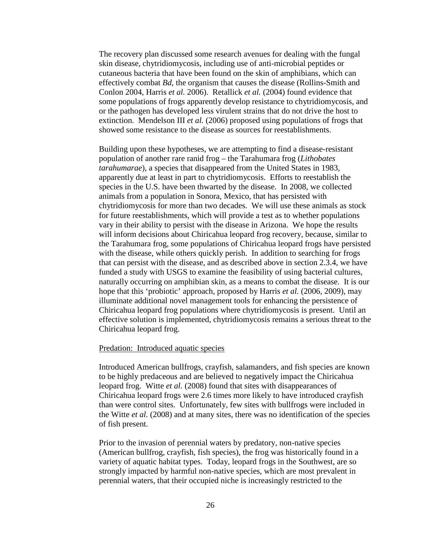The recovery plan discussed some research avenues for dealing with the fungal skin disease, chytridiomycosis, including use of anti-microbial peptides or cutaneous bacteria that have been found on the skin of amphibians, which can effectively combat *Bd*, the organism that causes the disease (Rollins-Smith and Conlon 2004, Harris *et al.* 2006). Retallick *et al.* (2004) found evidence that some populations of frogs apparently develop resistance to chytridiomycosis, and or the pathogen has developed less virulent strains that do not drive the host to extinction. Mendelson III *et al.* (2006) proposed using populations of frogs that showed some resistance to the disease as sources for reestablishments.

Building upon these hypotheses, we are attempting to find a disease-resistant population of another rare ranid frog – the Tarahumara frog (*Lithobates tarahumarae*), a species that disappeared from the United States in 1983, apparently due at least in part to chytridiomycosis. Efforts to reestablish the species in the U.S. have been thwarted by the disease. In 2008, we collected animals from a population in Sonora, Mexico, that has persisted with chytridiomycosis for more than two decades. We will use these animals as stock for future reestablishments, which will provide a test as to whether populations vary in their ability to persist with the disease in Arizona. We hope the results will inform decisions about Chiricahua leopard frog recovery, because, similar to the Tarahumara frog, some populations of Chiricahua leopard frogs have persisted with the disease, while others quickly perish. In addition to searching for frogs that can persist with the disease, and as described above in section 2.3.4, we have funded a study with USGS to examine the feasibility of using bacterial cultures, naturally occurring on amphibian skin, as a means to combat the disease. It is our hope that this 'probiotic' approach, proposed by Harris *et al.* (2006, 2009), may illuminate additional novel management tools for enhancing the persistence of Chiricahua leopard frog populations where chytridiomycosis is present. Until an effective solution is implemented, chytridiomycosis remains a serious threat to the Chiricahua leopard frog.

#### Predation: Introduced aquatic species

Introduced American bullfrogs, crayfish, salamanders, and fish species are known to be highly predaceous and are believed to negatively impact the Chiricahua leopard frog. Witte *et al.* (2008) found that sites with disappearances of Chiricahua leopard frogs were 2.6 times more likely to have introduced crayfish than were control sites. Unfortunately, few sites with bullfrogs were included in the Witte *et al.* (2008) and at many sites, there was no identification of the species of fish present.

Prior to the invasion of perennial waters by predatory, non-native species (American bullfrog, crayfish, fish species), the frog was historically found in a variety of aquatic habitat types. Today, leopard frogs in the Southwest, are so strongly impacted by harmful non-native species, which are most prevalent in perennial waters, that their occupied niche is increasingly restricted to the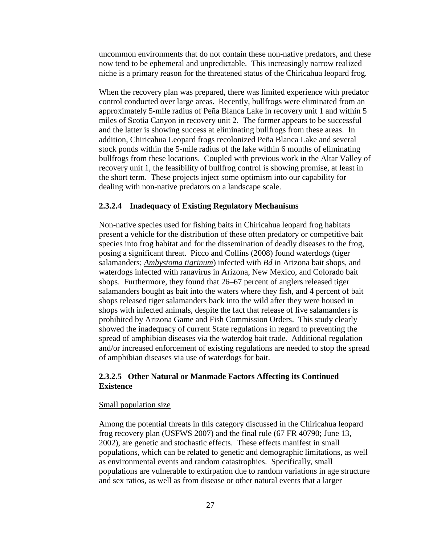uncommon environments that do not contain these non-native predators, and these now tend to be ephemeral and unpredictable. This increasingly narrow realized niche is a primary reason for the threatened status of the Chiricahua leopard frog.

When the recovery plan was prepared, there was limited experience with predator control conducted over large areas. Recently, bullfrogs were eliminated from an approximately 5-mile radius of Peña Blanca Lake in recovery unit 1 and within 5 miles of Scotia Canyon in recovery unit 2. The former appears to be successful and the latter is showing success at eliminating bullfrogs from these areas. In addition, Chiricahua Leopard frogs recolonized Peña Blanca Lake and several stock ponds within the 5-mile radius of the lake within 6 months of eliminating bullfrogs from these locations. Coupled with previous work in the Altar Valley of recovery unit 1, the feasibility of bullfrog control is showing promise, at least in the short term. These projects inject some optimism into our capability for dealing with non-native predators on a landscape scale.

### **2.3.2.4 Inadequacy of Existing Regulatory Mechanisms**

Non-native species used for fishing baits in Chiricahua leopard frog habitats present a vehicle for the distribution of these often predatory or competitive bait species into frog habitat and for the dissemination of deadly diseases to the frog, posing a significant threat. Picco and Collins (2008) found waterdogs (tiger salamanders; *[Ambystoma tigrinum](http://aqualandpetsplus.com/Amphibian,%20Salamander.htm)*) infected with *Bd* in Arizona bait shops, and waterdogs infected with ranavirus in Arizona, New Mexico, and Colorado bait shops. Furthermore, they found that 26–67 percent of anglers released tiger salamanders bought as bait into the waters where they fish, and 4 percent of bait shops released tiger salamanders back into the wild after they were housed in shops with infected animals, despite the fact that release of live salamanders is prohibited by Arizona Game and Fish Commission Orders. This study clearly showed the inadequacy of current State regulations in regard to preventing the spread of amphibian diseases via the waterdog bait trade. Additional regulation and/or increased enforcement of existing regulations are needed to stop the spread of amphibian diseases via use of waterdogs for bait.

## **2.3.2.5 Other Natural or Manmade Factors Affecting its Continued Existence**

### Small population size

Among the potential threats in this category discussed in the Chiricahua leopard frog recovery plan (USFWS 2007) and the final rule (67 FR 40790; June 13, 2002), are genetic and stochastic effects. These effects manifest in small populations, which can be related to genetic and demographic limitations, as well as environmental events and random catastrophies. Specifically, small populations are vulnerable to extirpation due to random variations in age structure and sex ratios, as well as from disease or other natural events that a larger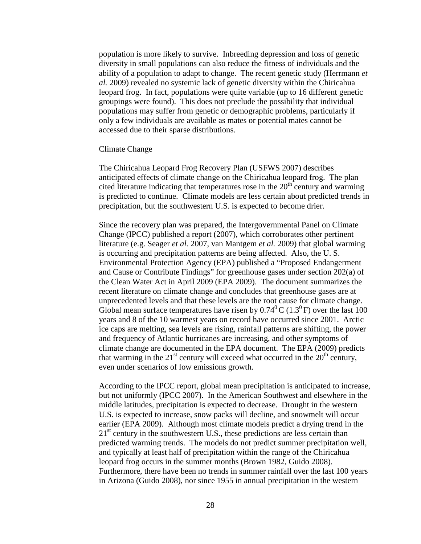population is more likely to survive. Inbreeding depression and loss of genetic diversity in small populations can also reduce the fitness of individuals and the ability of a population to adapt to change. The recent genetic study (Herrmann *et al.* 2009) revealed no systemic lack of genetic diversity within the Chiricahua leopard frog. In fact, populations were quite variable (up to 16 different genetic groupings were found). This does not preclude the possibility that individual populations may suffer from genetic or demographic problems, particularly if only a few individuals are available as mates or potential mates cannot be accessed due to their sparse distributions.

#### Climate Change

The Chiricahua Leopard Frog Recovery Plan (USFWS 2007) describes anticipated effects of climate change on the Chiricahua leopard frog. The plan cited literature indicating that temperatures rose in the  $20<sup>th</sup>$  century and warming is predicted to continue. Climate models are less certain about predicted trends in precipitation, but the southwestern U.S. is expected to become drier.

Since the recovery plan was prepared, the Intergovernmental Panel on Climate Change (IPCC) published a report (2007), which corroborates other pertinent literature (e.g. Seager *et al.* 2007, van Mantgem *et al.* 2009) that global warming is occurring and precipitation patterns are being affected. Also, the U. S. Environmental Protection Agency (EPA) published a "Proposed Endangerment and Cause or Contribute Findings" for greenhouse gases under section 202(a) of the Clean Water Act in April 2009 (EPA 2009). The document summarizes the recent literature on climate change and concludes that greenhouse gases are at unprecedented levels and that these levels are the root cause for climate change. Global mean surface temperatures have risen by  $0.74^{\circ}$ C ( $1.3^{\circ}$ F) over the last 100 years and 8 of the 10 warmest years on record have occurred since 2001. Arctic ice caps are melting, sea levels are rising, rainfall patterns are shifting, the power and frequency of Atlantic hurricanes are increasing, and other symptoms of climate change are documented in the EPA document. The EPA (2009) predicts that warming in the  $21<sup>st</sup>$  century will exceed what occurred in the  $20<sup>th</sup>$  century, even under scenarios of low emissions growth.

According to the IPCC report, global mean precipitation is anticipated to increase, but not uniformly (IPCC 2007). In the American Southwest and elsewhere in the middle latitudes, precipitation is expected to decrease. Drought in the western U.S. is expected to increase, snow packs will decline, and snowmelt will occur earlier (EPA 2009). Although most climate models predict a drying trend in the  $21<sup>st</sup>$  century in the southwestern U.S., these predictions are less certain than predicted warming trends. The models do not predict summer precipitation well, and typically at least half of precipitation within the range of the Chiricahua leopard frog occurs in the summer months (Brown 1982, Guido 2008). Furthermore, there have been no trends in summer rainfall over the last 100 years in Arizona (Guido 2008), nor since 1955 in annual precipitation in the western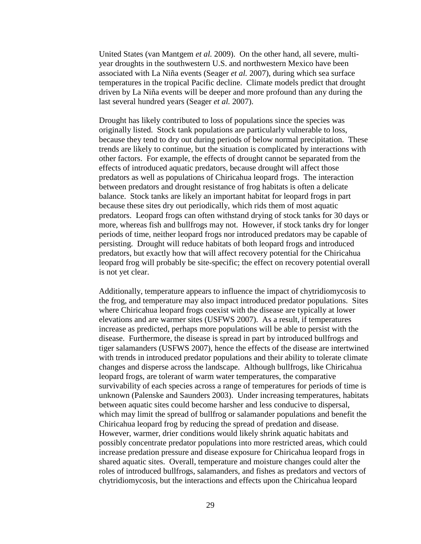United States (van Mantgem *et al.* 2009). On the other hand, all severe, multiyear droughts in the southwestern U.S. and northwestern Mexico have been associated with La Niña events (Seager *et al.* 2007), during which sea surface temperatures in the tropical Pacific decline. Climate models predict that drought driven by La Niña events will be deeper and more profound than any during the last several hundred years (Seager *et al.* 2007).

Drought has likely contributed to loss of populations since the species was originally listed. Stock tank populations are particularly vulnerable to loss, because they tend to dry out during periods of below normal precipitation. These trends are likely to continue, but the situation is complicated by interactions with other factors. For example, the effects of drought cannot be separated from the effects of introduced aquatic predators, because drought will affect those predators as well as populations of Chiricahua leopard frogs. The interaction between predators and drought resistance of frog habitats is often a delicate balance. Stock tanks are likely an important habitat for leopard frogs in part because these sites dry out periodically, which rids them of most aquatic predators. Leopard frogs can often withstand drying of stock tanks for 30 days or more, whereas fish and bullfrogs may not. However, if stock tanks dry for longer periods of time, neither leopard frogs nor introduced predators may be capable of persisting. Drought will reduce habitats of both leopard frogs and introduced predators, but exactly how that will affect recovery potential for the Chiricahua leopard frog will probably be site-specific; the effect on recovery potential overall is not yet clear.

Additionally, temperature appears to influence the impact of chytridiomycosis to the frog, and temperature may also impact introduced predator populations. Sites where Chiricahua leopard frogs coexist with the disease are typically at lower elevations and are warmer sites (USFWS 2007). As a result, if temperatures increase as predicted, perhaps more populations will be able to persist with the disease. Furthermore, the disease is spread in part by introduced bullfrogs and tiger salamanders (USFWS 2007), hence the effects of the disease are intertwined with trends in introduced predator populations and their ability to tolerate climate changes and disperse across the landscape. Although bullfrogs, like Chiricahua leopard frogs, are tolerant of warm water temperatures, the comparative survivability of each species across a range of temperatures for periods of time is unknown (Palenske and Saunders 2003). Under increasing temperatures, habitats between aquatic sites could become harsher and less conducive to dispersal, which may limit the spread of bullfrog or salamander populations and benefit the Chiricahua leopard frog by reducing the spread of predation and disease. However, warmer, drier conditions would likely shrink aquatic habitats and possibly concentrate predator populations into more restricted areas, which could increase predation pressure and disease exposure for Chiricahua leopard frogs in shared aquatic sites. Overall, temperature and moisture changes could alter the roles of introduced bullfrogs, salamanders, and fishes as predators and vectors of chytridiomycosis, but the interactions and effects upon the Chiricahua leopard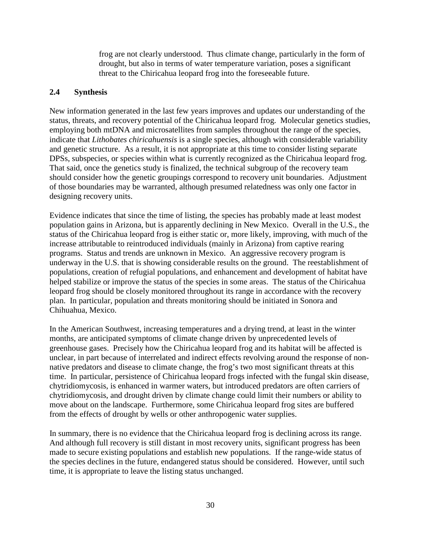frog are not clearly understood. Thus climate change, particularly in the form of drought, but also in terms of water temperature variation, poses a significant threat to the Chiricahua leopard frog into the foreseeable future.

## **2.4 Synthesis**

New information generated in the last few years improves and updates our understanding of the status, threats, and recovery potential of the Chiricahua leopard frog. Molecular genetics studies, employing both mtDNA and microsatellites from samples throughout the range of the species, indicate that *Lithobates chiricahuensis* is a single species, although with considerable variability and genetic structure. As a result, it is not appropriate at this time to consider listing separate DPSs, subspecies, or species within what is currently recognized as the Chiricahua leopard frog. That said, once the genetics study is finalized, the technical subgroup of the recovery team should consider how the genetic groupings correspond to recovery unit boundaries. Adjustment of those boundaries may be warranted, although presumed relatedness was only one factor in designing recovery units.

Evidence indicates that since the time of listing, the species has probably made at least modest population gains in Arizona, but is apparently declining in New Mexico. Overall in the U.S., the status of the Chiricahua leopard frog is either static or, more likely, improving, with much of the increase attributable to reintroduced individuals (mainly in Arizona) from captive rearing programs. Status and trends are unknown in Mexico. An aggressive recovery program is underway in the U.S. that is showing considerable results on the ground. The reestablishment of populations, creation of refugial populations, and enhancement and development of habitat have helped stabilize or improve the status of the species in some areas. The status of the Chiricahua leopard frog should be closely monitored throughout its range in accordance with the recovery plan. In particular, population and threats monitoring should be initiated in Sonora and Chihuahua, Mexico.

In the American Southwest, increasing temperatures and a drying trend, at least in the winter months, are anticipated symptoms of climate change driven by unprecedented levels of greenhouse gases. Precisely how the Chiricahua leopard frog and its habitat will be affected is unclear, in part because of interrelated and indirect effects revolving around the response of nonnative predators and disease to climate change, the frog's two most significant threats at this time. In particular, persistence of Chiricahua leopard frogs infected with the fungal skin disease, chytridiomycosis, is enhanced in warmer waters, but introduced predators are often carriers of chytridiomycosis, and drought driven by climate change could limit their numbers or ability to move about on the landscape. Furthermore, some Chiricahua leopard frog sites are buffered from the effects of drought by wells or other anthropogenic water supplies.

In summary, there is no evidence that the Chiricahua leopard frog is declining across its range. And although full recovery is still distant in most recovery units, significant progress has been made to secure existing populations and establish new populations. If the range-wide status of the species declines in the future, endangered status should be considered. However, until such time, it is appropriate to leave the listing status unchanged.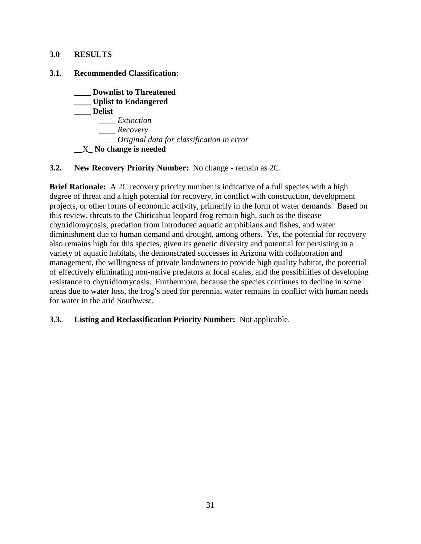## **3.0 RESULTS**

## **3.1. Recommended Classification**:

- **\_\_\_\_ Downlist to Threatened \_\_\_\_ Uplist to Endangered \_\_\_\_ Delist**  *\_\_\_\_ Extinction \_\_\_\_ Recovery \_\_\_\_ Original data for classification in error* **\_\_**X**\_ No change is needed**
- **3.2. New Recovery Priority Number:** No change remain as 2C.

**Brief Rationale:** A 2C recovery priority number is indicative of a full species with a high degree of threat and a high potential for recovery, in conflict with construction, development projects, or other forms of economic activity, primarily in the form of water demands. Based on this review, threats to the Chiricahua leopard frog remain high, such as the disease chytridiomycosis, predation from introduced aquatic amphibians and fishes, and water diminishment due to human demand and drought, among others. Yet, the potential for recovery also remains high for this species, given its genetic diversity and potential for persisting in a variety of aquatic habitats, the demonstrated successes in Arizona with collaboration and management, the willingness of private landowners to provide high quality habitat, the potential of effectively eliminating non-native predators at local scales, and the possibilities of developing resistance to chytridiomycosis.Furthermore, because the species continues to decline in some areas due to water loss, the frog's need for perennial water remains in conflict with human needs for water in the arid Southwest.

## **3.3. Listing and Reclassification Priority Number:** Not applicable.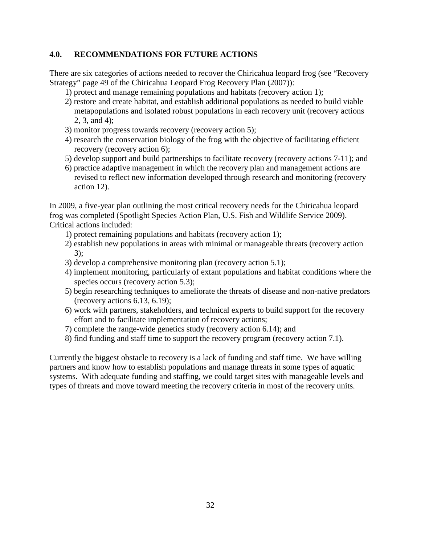## **4.0. RECOMMENDATIONS FOR FUTURE ACTIONS**

There are six categories of actions needed to recover the Chiricahua leopard frog (see "Recovery Strategy" page 49 of the Chiricahua Leopard Frog Recovery Plan (2007)):

- 1) protect and manage remaining populations and habitats (recovery action 1);
- 2) restore and create habitat, and establish additional populations as needed to build viable metapopulations and isolated robust populations in each recovery unit (recovery actions 2, 3, and 4);
- 3) monitor progress towards recovery (recovery action 5);
- 4) research the conservation biology of the frog with the objective of facilitating efficient recovery (recovery action 6);
- 5) develop support and build partnerships to facilitate recovery (recovery actions 7-11); and
- 6) practice adaptive management in which the recovery plan and management actions are revised to reflect new information developed through research and monitoring (recovery action 12).

In 2009, a five-year plan outlining the most critical recovery needs for the Chiricahua leopard frog was completed (Spotlight Species Action Plan, U.S. Fish and Wildlife Service 2009). Critical actions included:

- 1) protect remaining populations and habitats (recovery action 1);
- 2) establish new populations in areas with minimal or manageable threats (recovery action 3);
- 3) develop a comprehensive monitoring plan (recovery action 5.1);
- 4) implement monitoring, particularly of extant populations and habitat conditions where the species occurs (recovery action 5.3);
- 5) begin researching techniques to ameliorate the threats of disease and non-native predators (recovery actions 6.13, 6.19);
- 6) work with partners, stakeholders, and technical experts to build support for the recovery effort and to facilitate implementation of recovery actions;
- 7) complete the range-wide genetics study (recovery action 6.14); and
- 8) find funding and staff time to support the recovery program (recovery action 7.1).

Currently the biggest obstacle to recovery is a lack of funding and staff time. We have willing partners and know how to establish populations and manage threats in some types of aquatic systems. With adequate funding and staffing, we could target sites with manageable levels and types of threats and move toward meeting the recovery criteria in most of the recovery units.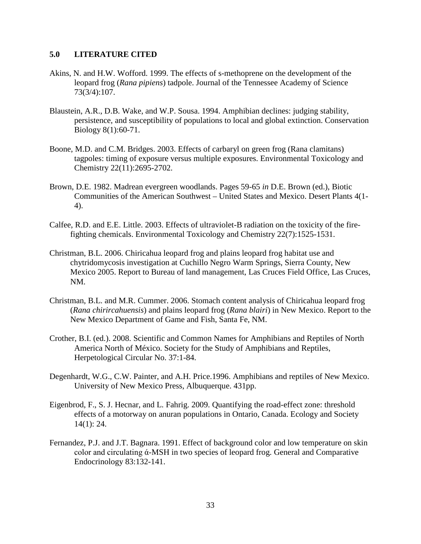### **5.0 LITERATURE CITED**

- Akins, N. and H.W. Wofford. 1999. The effects of s-methoprene on the development of the leopard frog (*Rana pipiens*) tadpole. Journal of the Tennessee Academy of Science 73(3/4):107.
- Blaustein, A.R., D.B. Wake, and W.P. Sousa. 1994. Amphibian declines: judging stability, persistence, and susceptibility of populations to local and global extinction. Conservation Biology 8(1):60-71.
- Boone, M.D. and C.M. Bridges. 2003. Effects of carbaryl on green frog (Rana clamitans) tagpoles: timing of exposure versus multiple exposures. Environmental Toxicology and Chemistry 22(11):2695-2702.
- Brown, D.E. 1982. Madrean evergreen woodlands. Pages 59-65 *in* D.E. Brown (ed.), Biotic Communities of the American Southwest – United States and Mexico. Desert Plants 4(1- 4).
- Calfee, R.D. and E.E. Little. 2003. Effects of ultraviolet-B radiation on the toxicity of the firefighting chemicals. Environmental Toxicology and Chemistry 22(7):1525-1531.
- Christman, B.L. 2006. Chiricahua leopard frog and plains leopard frog habitat use and chytridomycosis investigation at Cuchillo Negro Warm Springs, Sierra County, New Mexico 2005. Report to Bureau of land management, Las Cruces Field Office, Las Cruces, NM.
- Christman, B.L. and M.R. Cummer. 2006. Stomach content analysis of Chiricahua leopard frog (*Rana chirircahuensis*) and plains leopard frog (*Rana blairi*) in New Mexico. Report to the New Mexico Department of Game and Fish, Santa Fe, NM.
- Crother, B.I. (ed.). 2008. Scientific and Common Names for Amphibians and Reptiles of North America North of México. Society for the Study of Amphibians and Reptiles, Herpetological Circular No. 37:1-84.
- Degenhardt, W.G., C.W. Painter, and A.H. Price.1996. Amphibians and reptiles of New Mexico. University of New Mexico Press, Albuquerque. 431pp.
- Eigenbrod, F., S. J. Hecnar, and L. Fahrig. 2009. Quantifying the road-effect zone: threshold effects of a motorway on anuran populations in Ontario, Canada. Ecology and Society 14(1): 24.
- Fernandez, P.J. and J.T. Bagnara. 1991. Effect of background color and low temperature on skin color and circulating ά-MSH in two species of leopard frog. General and Comparative Endocrinology 83:132-141.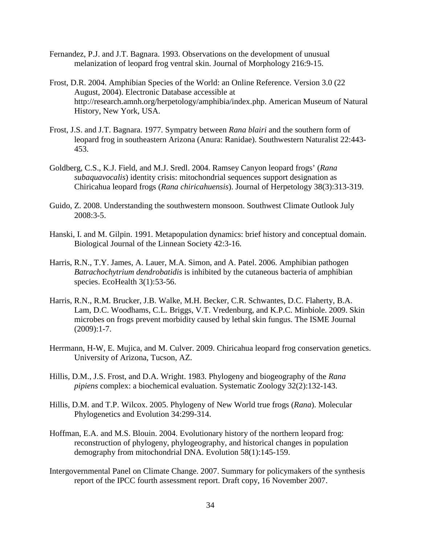- Fernandez, P.J. and J.T. Bagnara. 1993. Observations on the development of unusual melanization of leopard frog ventral skin. Journal of Morphology 216:9-15.
- Frost, D.R. 2004. Amphibian Species of the World: an Online Reference. Version 3.0 (22 August, 2004). Electronic Database accessible at http://research.amnh.org/herpetology/amphibia/index.php. American Museum of Natural History, New York, USA.
- Frost, J.S. and J.T. Bagnara. 1977. Sympatry between *Rana blairi* and the southern form of leopard frog in southeastern Arizona (Anura: Ranidae). Southwestern Naturalist 22:443- 453.
- Goldberg, C.S., K.J. Field, and M.J. Sredl. 2004. Ramsey Canyon leopard frogs' (*Rana subaquavocalis*) identity crisis: mitochondrial sequences support designation as Chiricahua leopard frogs (*Rana chiricahuensis*). Journal of Herpetology 38(3):313-319.
- Guido, Z. 2008. Understanding the southwestern monsoon. Southwest Climate Outlook July 2008:3-5.
- Hanski, I. and M. Gilpin. 1991. Metapopulation dynamics: brief history and conceptual domain. Biological Journal of the Linnean Society 42:3-16.
- Harris, R.N., T.Y. James, A. Lauer, M.A. Simon, and A. Patel. 2006. Amphibian pathogen *Batrachochytrium dendrobatidis* is inhibited by the cutaneous bacteria of amphibian species. EcoHealth 3(1):53-56.
- Harris, R.N., R.M. Brucker, J.B. Walke, M.H. Becker, C.R. Schwantes, D.C. Flaherty, B.A. Lam, D.C. Woodhams, C.L. Briggs, V.T. Vredenburg, and K.P.C. Minbiole. 2009. Skin microbes on frogs prevent morbidity caused by lethal skin fungus. The ISME Journal  $(2009):1-7.$
- Herrmann, H-W, E. Mujica, and M. Culver. 2009. Chiricahua leopard frog conservation genetics. University of Arizona, Tucson, AZ.
- Hillis, D.M., J.S. Frost, and D.A. Wright. 1983. Phylogeny and biogeography of the *Rana pipiens* complex: a biochemical evaluation. Systematic Zoology 32(2):132-143.
- Hillis, D.M. and T.P. Wilcox. 2005. Phylogeny of New World true frogs (*Rana*). Molecular Phylogenetics and Evolution 34:299-314.
- Hoffman, E.A. and M.S. Blouin. 2004. Evolutionary history of the northern leopard frog: reconstruction of phylogeny, phylogeography, and historical changes in population demography from mitochondrial DNA. Evolution 58(1):145-159.
- Intergovernmental Panel on Climate Change. 2007. Summary for policymakers of the synthesis report of the IPCC fourth assessment report. Draft copy, 16 November 2007.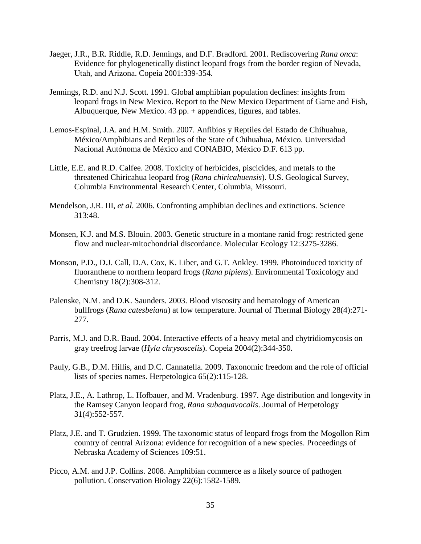- Jaeger, J.R., B.R. Riddle, R.D. Jennings, and D.F. Bradford. 2001. Rediscovering *Rana onca*: Evidence for phylogenetically distinct leopard frogs from the border region of Nevada, Utah, and Arizona. Copeia 2001:339-354.
- Jennings, R.D. and N.J. Scott. 1991. Global amphibian population declines: insights from leopard frogs in New Mexico. Report to the New Mexico Department of Game and Fish, Albuquerque, New Mexico. 43 pp. + appendices, figures, and tables.
- Lemos-Espinal, J.A. and H.M. Smith. 2007. Anfibios y Reptiles del Estado de Chihuahua, México/Amphibians and Reptiles of the State of Chihuahua, México. Universidad Nacional Autónoma de México and CONABIO, México D.F. 613 pp.
- Little, E.E. and R.D. Calfee. 2008. Toxicity of herbicides, piscicides, and metals to the threatened Chiricahua leopard frog (*Rana chiricahuensis*). U.S. Geological Survey, Columbia Environmental Research Center, Columbia, Missouri.
- Mendelson, J.R. III, *et al.* 2006. Confronting amphibian declines and extinctions. Science 313:48.
- Monsen, K.J. and M.S. Blouin. 2003. Genetic structure in a montane ranid frog: restricted gene flow and nuclear-mitochondrial discordance. Molecular Ecology 12:3275-3286.
- Monson, P.D., D.J. Call, D.A. Cox, K. Liber, and G.T. Ankley. 1999. Photoinduced toxicity of fluoranthene to northern leopard frogs (*Rana pipiens*). Environmental Toxicology and Chemistry 18(2):308-312.
- Palenske, N.M. and D.K. Saunders. 2003. Blood viscosity and hematology of American bullfrogs (*Rana catesbeiana*) at low temperature. Journal of Thermal Biology 28(4):271- 277.
- Parris, M.J. and D.R. Baud. 2004. Interactive effects of a heavy metal and chytridiomycosis on gray treefrog larvae (*Hyla chrysoscelis*). Copeia 2004(2):344-350.
- Pauly, G.B., D.M. Hillis, and D.C. Cannatella. 2009. Taxonomic freedom and the role of official lists of species names. Herpetologica 65(2):115-128.
- Platz, J.E., A. Lathrop, L. Hofbauer, and M. Vradenburg. 1997. Age distribution and longevity in the Ramsey Canyon leopard frog, *Rana subaquavocalis*. Journal of Herpetology 31(4):552-557.
- Platz, J.E. and T. Grudzien. 1999. The taxonomic status of leopard frogs from the Mogollon Rim country of central Arizona: evidence for recognition of a new species. Proceedings of Nebraska Academy of Sciences 109:51.
- Picco, A.M. and J.P. Collins. 2008. Amphibian commerce as a likely source of pathogen pollution. Conservation Biology 22(6):1582-1589.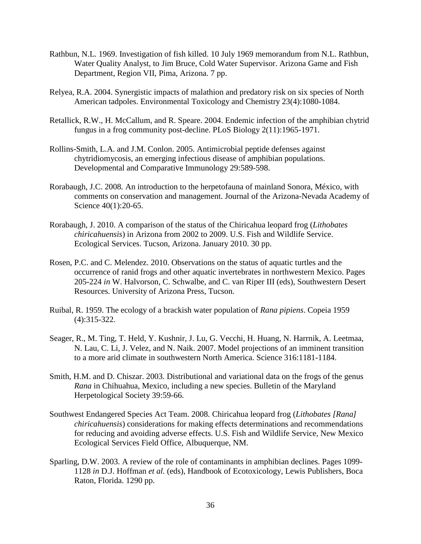- Rathbun, N.L. 1969. Investigation of fish killed. 10 July 1969 memorandum from N.L. Rathbun, Water Quality Analyst, to Jim Bruce, Cold Water Supervisor. Arizona Game and Fish Department, Region VII, Pima, Arizona. 7 pp.
- Relyea, R.A. 2004. Synergistic impacts of malathion and predatory risk on six species of North American tadpoles. Environmental Toxicology and Chemistry 23(4):1080-1084.
- Retallick, R.W., H. McCallum, and R. Speare. 2004. Endemic infection of the amphibian chytrid fungus in a frog community post-decline. PLoS Biology 2(11):1965-1971.
- Rollins-Smith, L.A. and J.M. Conlon. 2005. Antimicrobial peptide defenses against chytridiomycosis, an emerging infectious disease of amphibian populations. Developmental and Comparative Immunology 29:589-598.
- Rorabaugh, J.C. 2008*.* An introduction to the herpetofauna of mainland Sonora, México, with comments on conservation and management. Journal of the Arizona-Nevada Academy of Science 40(1):20-65.
- Rorabaugh, J. 2010. A comparison of the status of the Chiricahua leopard frog (*Lithobates chiricahuensis*) in Arizona from 2002 to 2009. U.S. Fish and Wildlife Service. Ecological Services. Tucson, Arizona. January 2010. 30 pp.
- Rosen, P.C. and C. Melendez. 2010. Observations on the status of aquatic turtles and the occurrence of ranid frogs and other aquatic invertebrates in northwestern Mexico. Pages 205-224 *in* W. Halvorson, C. Schwalbe, and C. van Riper III (eds), Southwestern Desert Resources. University of Arizona Press, Tucson.
- Ruibal, R. 1959. The ecology of a brackish water population of *Rana pipiens*. Copeia 1959 (4):315-322.
- Seager, R., M. Ting, T. Held, Y. Kushnir, J. Lu, G. Vecchi, H. Huang, N. Harrnik, A. Leetmaa, N. Lau, C. Li, J. Velez, and N. Naik. 2007. Model projections of an imminent transition to a more arid climate in southwestern North America. Science 316:1181-1184.
- Smith, H.M. and D. Chiszar. 2003. Distributional and variational data on the frogs of the genus *Rana* in Chihuahua, Mexico, including a new species. Bulletin of the Maryland Herpetological Society 39:59-66.
- Southwest Endangered Species Act Team. 2008. Chiricahua leopard frog (*Lithobates [Rana] chiricahuensis*) considerations for making effects determinations and recommendations for reducing and avoiding adverse effects. U.S. Fish and Wildlife Service, New Mexico Ecological Services Field Office, Albuquerque, NM.
- Sparling, D.W. 2003. A review of the role of contaminants in amphibian declines. Pages 1099- 1128 *in* D.J. Hoffman *et al.* (eds), Handbook of Ecotoxicology, Lewis Publishers, Boca Raton, Florida. 1290 pp.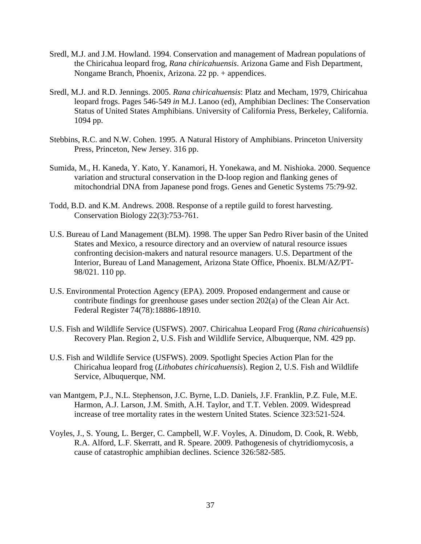- Sredl, M.J. and J.M. Howland. 1994. Conservation and management of Madrean populations of the Chiricahua leopard frog, *Rana chiricahuensis*. Arizona Game and Fish Department, Nongame Branch, Phoenix, Arizona. 22 pp. + appendices.
- Sredl, M.J. and R.D. Jennings. 2005. *Rana chiricahuensis*: Platz and Mecham, 1979, Chiricahua leopard frogs. Pages 546-549 *in* M.J. Lanoo (ed), Amphibian Declines: The Conservation Status of United States Amphibians. University of California Press, Berkeley, California. 1094 pp.
- Stebbins, R.C. and N.W. Cohen. 1995. A Natural History of Amphibians. Princeton University Press, Princeton, New Jersey. 316 pp.
- Sumida, M., H. Kaneda, Y. Kato, Y. Kanamori, H. Yonekawa, and M. Nishioka. 2000. Sequence variation and structural conservation in the D-loop region and flanking genes of mitochondrial DNA from Japanese pond frogs. Genes and Genetic Systems 75:79-92.
- Todd, B.D. and K.M. Andrews. 2008. Response of a reptile guild to forest harvesting. Conservation Biology 22(3):753-761.
- U.S. Bureau of Land Management (BLM). 1998. The upper San Pedro River basin of the United States and Mexico, a resource directory and an overview of natural resource issues confronting decision-makers and natural resource managers. U.S. Department of the Interior, Bureau of Land Management, Arizona State Office, Phoenix. BLM/AZ/PT-98/021. 110 pp.
- U.S. Environmental Protection Agency (EPA). 2009. Proposed endangerment and cause or contribute findings for greenhouse gases under section 202(a) of the Clean Air Act. Federal Register 74(78):18886-18910.
- U.S. Fish and Wildlife Service (USFWS). 2007. Chiricahua Leopard Frog (*Rana chiricahuensis*) Recovery Plan. Region 2, U.S. Fish and Wildlife Service, Albuquerque, NM. 429 pp.
- U.S. Fish and Wildlife Service (USFWS). 2009. Spotlight Species Action Plan for the Chiricahua leopard frog (*Lithobates chiricahuensis*). Region 2, U.S. Fish and Wildlife Service, Albuquerque, NM.
- van Mantgem, P.J., N.L. Stephenson, J.C. Byrne, L.D. Daniels, J.F. Franklin, P.Z. Fule, M.E. Harmon, A.J. Larson, J.M. Smith, A.H. Taylor, and T.T. Veblen. 2009. Widespread increase of tree mortality rates in the western United States. Science 323:521-524.
- Voyles, J., S. Young, L. Berger, C. Campbell, W.F. Voyles, A. Dinudom, D. Cook, R. Webb, R.A. Alford, L.F. Skerratt, and R. Speare. 2009. Pathogenesis of chytridiomycosis, a cause of catastrophic amphibian declines. Science 326:582-585.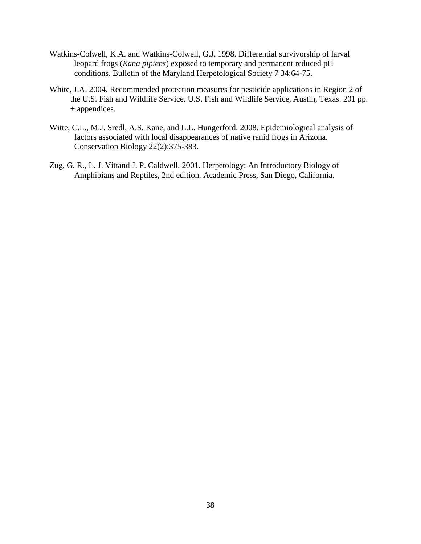- Watkins-Colwell, K.A. and Watkins-Colwell, G.J. 1998. Differential survivorship of larval leopard frogs (*Rana pipiens*) exposed to temporary and permanent reduced pH conditions. Bulletin of the Maryland Herpetological Society 7 34:64-75.
- White, J.A. 2004. Recommended protection measures for pesticide applications in Region 2 of the U.S. Fish and Wildlife Service. U.S. Fish and Wildlife Service, Austin, Texas. 201 pp. + appendices.
- Witte, C.L., M.J. Sredl, A.S. Kane, and L.L. Hungerford. 2008. Epidemiological analysis of factors associated with local disappearances of native ranid frogs in Arizona. Conservation Biology 22(2):375-383.
- Zug, G. R., L. J. Vittand J. P. Caldwell. 2001. Herpetology: An Introductory Biology of Amphibians and Reptiles, 2nd edition. Academic Press, San Diego, California.